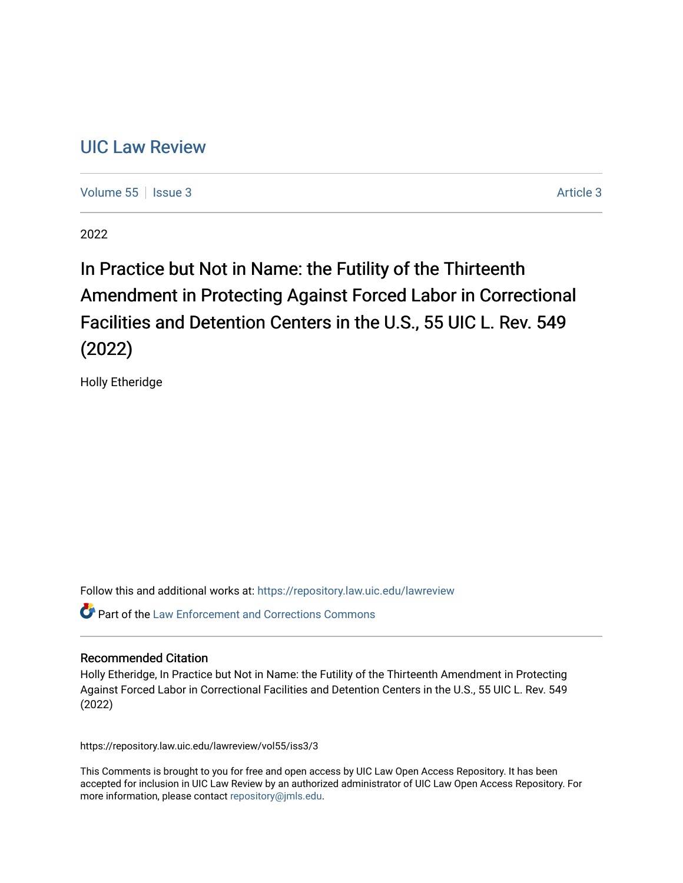# [UIC Law Review](https://repository.law.uic.edu/lawreview)

[Volume 55](https://repository.law.uic.edu/lawreview/vol55) | [Issue 3](https://repository.law.uic.edu/lawreview/vol55/iss3) Article 3

2022

# In Practice but Not in Name: the Futility of the Thirteenth Amendment in Protecting Against Forced Labor in Correctional Facilities and Detention Centers in the U.S., 55 UIC L. Rev. 549 (2022)

Holly Etheridge

Follow this and additional works at: [https://repository.law.uic.edu/lawreview](https://repository.law.uic.edu/lawreview?utm_source=repository.law.uic.edu%2Flawreview%2Fvol55%2Fiss3%2F3&utm_medium=PDF&utm_campaign=PDFCoverPages) 

 $\bullet$  Part of the Law Enforcement and Corrections Commons

## Recommended Citation

Holly Etheridge, In Practice but Not in Name: the Futility of the Thirteenth Amendment in Protecting Against Forced Labor in Correctional Facilities and Detention Centers in the U.S., 55 UIC L. Rev. 549 (2022)

https://repository.law.uic.edu/lawreview/vol55/iss3/3

This Comments is brought to you for free and open access by UIC Law Open Access Repository. It has been accepted for inclusion in UIC Law Review by an authorized administrator of UIC Law Open Access Repository. For more information, please contact [repository@jmls.edu.](mailto:repository@jmls.edu)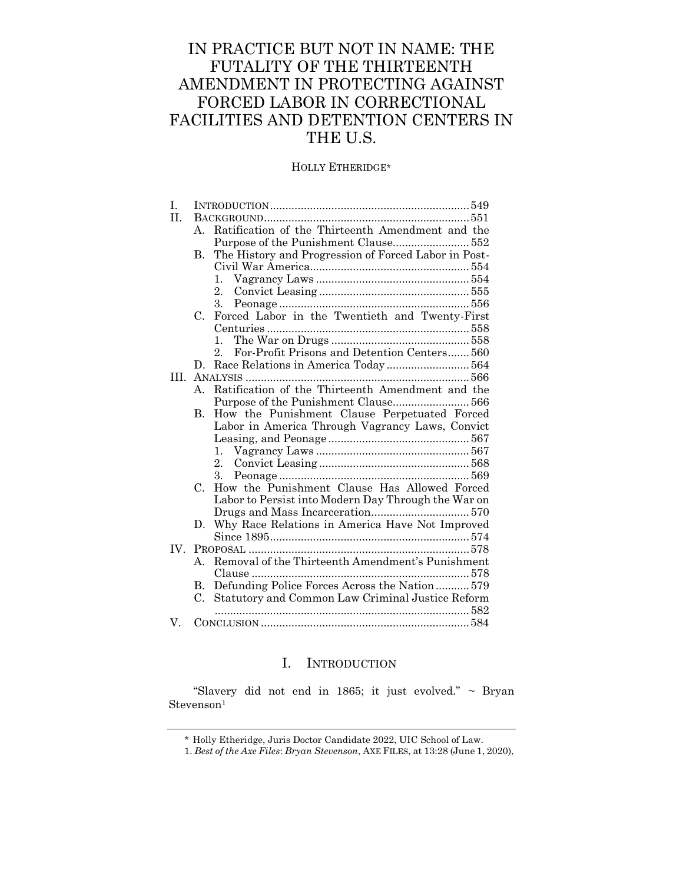# IN PRACTICE BUT NOT IN NAME: THE FUTALITY OF THE THIRTEENTH AMENDMENT IN PROTECTING AGAINST FORCED LABOR IN CORRECTIONAL FACILITIES AND DETENTION CENTERS IN THE U.S.

## HOLLY ETHERIDGE\*

| T.       |                      |                                                         |  |
|----------|----------------------|---------------------------------------------------------|--|
| H.       |                      |                                                         |  |
|          | $A_{\cdot}$          | Ratification of the Thirteenth Amendment and the        |  |
|          |                      |                                                         |  |
|          | В.                   | The History and Progression of Forced Labor in Post-    |  |
|          |                      |                                                         |  |
|          |                      | 1.                                                      |  |
|          |                      | 2.                                                      |  |
|          |                      | 3.                                                      |  |
|          | $C_{\cdot}$          | Forced Labor in the Twentieth and Twenty-First          |  |
|          |                      |                                                         |  |
|          |                      | $\mathbf{1}_{\cdot}$                                    |  |
|          |                      | For-Profit Prisons and Detention Centers 560<br>$2_{-}$ |  |
|          | D.                   |                                                         |  |
| HL.      |                      |                                                         |  |
|          | $A_{\cdot}$          | Ratification of the Thirteenth Amendment and the        |  |
|          |                      |                                                         |  |
|          | $\mathbf{B}$ .       | How the Punishment Clause Perpetuated Forced            |  |
|          |                      | Labor in America Through Vagrancy Laws, Convict         |  |
|          |                      |                                                         |  |
|          |                      | $1_{\cdot}$                                             |  |
|          |                      | 2.                                                      |  |
|          |                      | 3.                                                      |  |
|          | $C_{\cdot}$          | How the Punishment Clause Has Allowed Forced            |  |
|          |                      | Labor to Persist into Modern Day Through the War on     |  |
|          |                      |                                                         |  |
|          | D.                   | Why Race Relations in America Have Not Improved         |  |
|          |                      |                                                         |  |
| $IV_{-}$ |                      |                                                         |  |
|          | $A_{\cdot}$          | Removal of the Thirteenth Amendment's Punishment        |  |
|          |                      |                                                         |  |
|          | $\mathbf{B}_{\cdot}$ | Defunding Police Forces Across the Nation 579           |  |
|          | C.                   | Statutory and Common Law Criminal Justice Reform        |  |
|          |                      |                                                         |  |
| V.       |                      |                                                         |  |
|          |                      |                                                         |  |

## I. INTRODUCTION

<span id="page-1-0"></span>"Slavery did not end in 1865; it just evolved." ~ Bryan  $Stevenson<sup>1</sup>$ 

<sup>\*</sup> Holly Etheridge, Juris Doctor Candidate 2022, UIC School of Law.

<sup>1.</sup> *Best of the Axe Files*: *Bryan Stevenson*, AXE FILES, at 13:28 (June 1, 2020),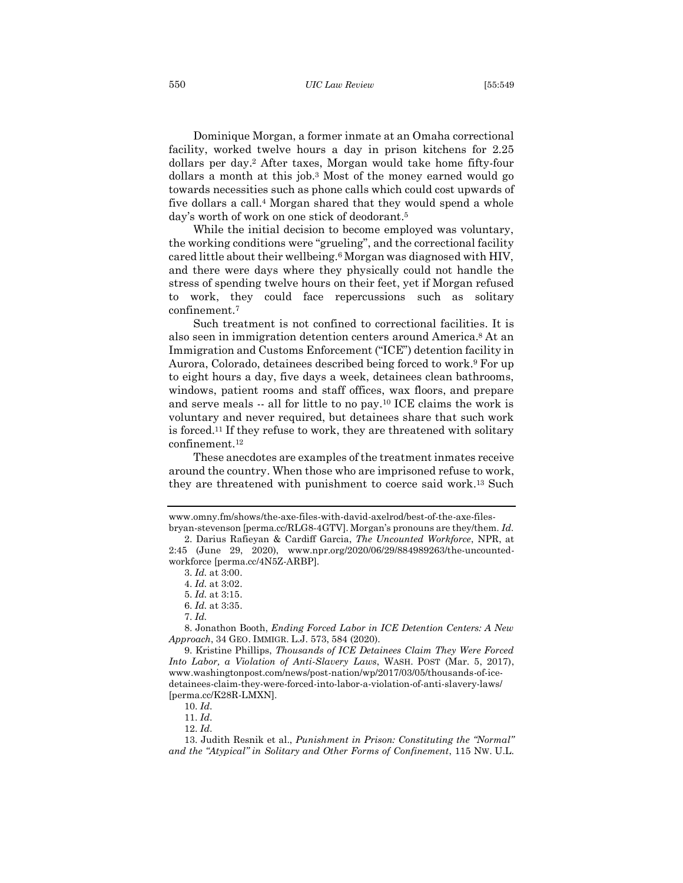Dominique Morgan, a former inmate at an Omaha correctional facility, worked twelve hours a day in prison kitchens for 2.25 dollars per day. <sup>2</sup> After taxes, Morgan would take home fifty-four dollars a month at this job.<sup>3</sup> Most of the money earned would go towards necessities such as phone calls which could cost upwards of five dollars a call.<sup>4</sup> Morgan shared that they would spend a whole day's worth of work on one stick of deodorant.<sup>5</sup>

While the initial decision to become employed was voluntary, the working conditions were "grueling", and the correctional facility cared little about their wellbeing.<sup>6</sup> Morgan was diagnosed with HIV, and there were days where they physically could not handle the stress of spending twelve hours on their feet, yet if Morgan refused to work, they could face repercussions such as solitary confinement.<sup>7</sup>

Such treatment is not confined to correctional facilities. It is also seen in immigration detention centers around America. <sup>8</sup> At an Immigration and Customs Enforcement ("ICE") detention facility in Aurora, Colorado, detainees described being forced to work. <sup>9</sup> For up to eight hours a day, five days a week, detainees clean bathrooms, windows, patient rooms and staff offices, wax floors, and prepare and serve meals -- all for little to no pay.<sup>10</sup> ICE claims the work is voluntary and never required, but detainees share that such work is forced.<sup>11</sup> If they refuse to work, they are threatened with solitary confinement.<sup>12</sup>

These anecdotes are examples of the treatment inmates receive around the country. When those who are imprisoned refuse to work, they are threatened with punishment to coerce said work. <sup>13</sup> Such

www.omny.fm/shows/the-axe-files-with-david-axelrod/best-of-the-axe-files-

bryan-stevenson [perma.cc/RLG8-4GTV]. Morgan's pronouns are they/them. *Id.* 2. Darius Rafieyan & Cardiff Garcia, *The Uncounted Workforce*, NPR, at 2:45 (June 29, 2020), www.npr.org/2020/06/29/884989263/the-uncountedworkforce [perma.cc/4N5Z-ARBP].

<sup>3.</sup> *Id.* at 3:00.

<sup>4.</sup> *Id.* at 3:02.

<sup>5.</sup> *Id.* at 3:15.

<sup>6.</sup> *Id.* at 3:35.

<sup>7.</sup> *Id.*

<sup>8.</sup> Jonathon Booth, *Ending Forced Labor in ICE Detention Centers: A New Approach*, 34 GEO. IMMIGR. L.J. 573, 584 (2020).

<sup>9.</sup> Kristine Phillips, *Thousands of ICE Detainees Claim They Were Forced Into Labor, a Violation of Anti-Slavery Laws*, WASH. POST (Mar. 5, 2017), www.washingtonpost.com/news/post-nation/wp/2017/03/05/thousands-of-icedetainees-claim-they-were-forced-into-labor-a-violation-of-anti-slavery-laws/ [perma.cc/K28R-LMXN].

<sup>10.</sup> *Id*.

<sup>11.</sup> *Id*.

<sup>12.</sup> *Id*.

<sup>13.</sup> Judith Resnik et al., *Punishment in Prison: Constituting the "Normal" and the "Atypical" in Solitary and Other Forms of Confinement*, 115 NW. U.L.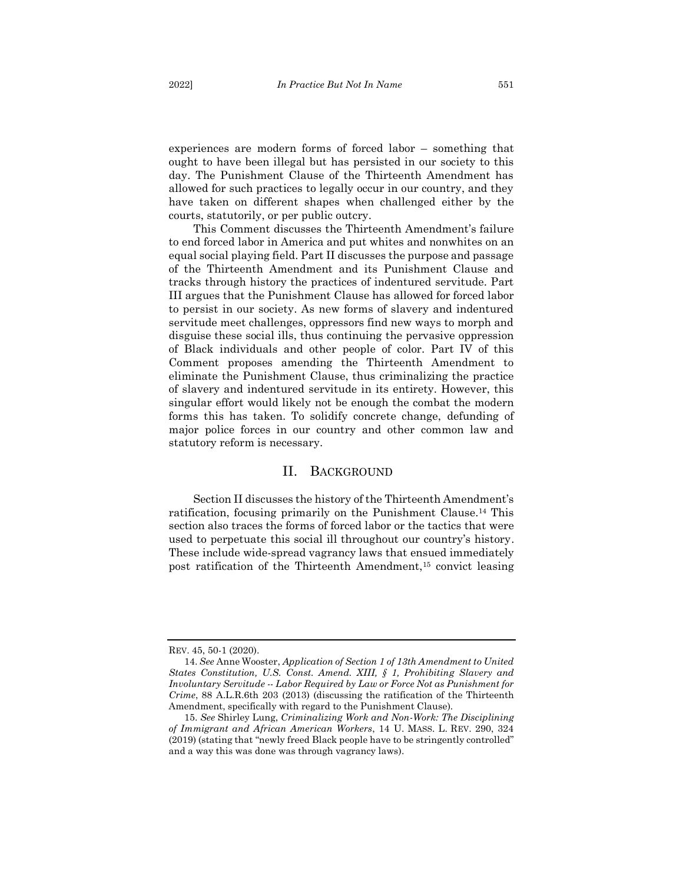experiences are modern forms of forced labor – something that ought to have been illegal but has persisted in our society to this day. The Punishment Clause of the Thirteenth Amendment has allowed for such practices to legally occur in our country, and they have taken on different shapes when challenged either by the courts, statutorily, or per public outcry.

This Comment discusses the Thirteenth Amendment's failure to end forced labor in America and put whites and nonwhites on an equal social playing field. Part II discusses the purpose and passage of the Thirteenth Amendment and its Punishment Clause and tracks through history the practices of indentured servitude. Part III argues that the Punishment Clause has allowed for forced labor to persist in our society. As new forms of slavery and indentured servitude meet challenges, oppressors find new ways to morph and disguise these social ills, thus continuing the pervasive oppression of Black individuals and other people of color. Part IV of this Comment proposes amending the Thirteenth Amendment to eliminate the Punishment Clause, thus criminalizing the practice of slavery and indentured servitude in its entirety. However, this singular effort would likely not be enough the combat the modern forms this has taken. To solidify concrete change, defunding of major police forces in our country and other common law and statutory reform is necessary.

## II. BACKGROUND

<span id="page-3-0"></span>Section II discusses the history of the Thirteenth Amendment's ratification, focusing primarily on the Punishment Clause.<sup>14</sup> This section also traces the forms of forced labor or the tactics that were used to perpetuate this social ill throughout our country's history. These include wide-spread vagrancy laws that ensued immediately post ratification of the Thirteenth Amendment,<sup>15</sup> convict leasing

REV. 45, 50-1 (2020).

<sup>14.</sup> *See* Anne Wooster, *Application of Section 1 of 13th Amendment to United States Constitution, U.S. Const. Amend. XIII, § 1, Prohibiting Slavery and Involuntary Servitude -- Labor Required by Law or Force Not as Punishment for Crime*, 88 A.L.R.6th 203 (2013) (discussing the ratification of the Thirteenth Amendment, specifically with regard to the Punishment Clause).

<sup>15.</sup> *See* Shirley Lung, *Criminalizing Work and Non-Work: The Disciplining of Immigrant and African American Workers*, 14 U. MASS. L. REV. 290, 324 (2019) (stating that "newly freed Black people have to be stringently controlled" and a way this was done was through vagrancy laws).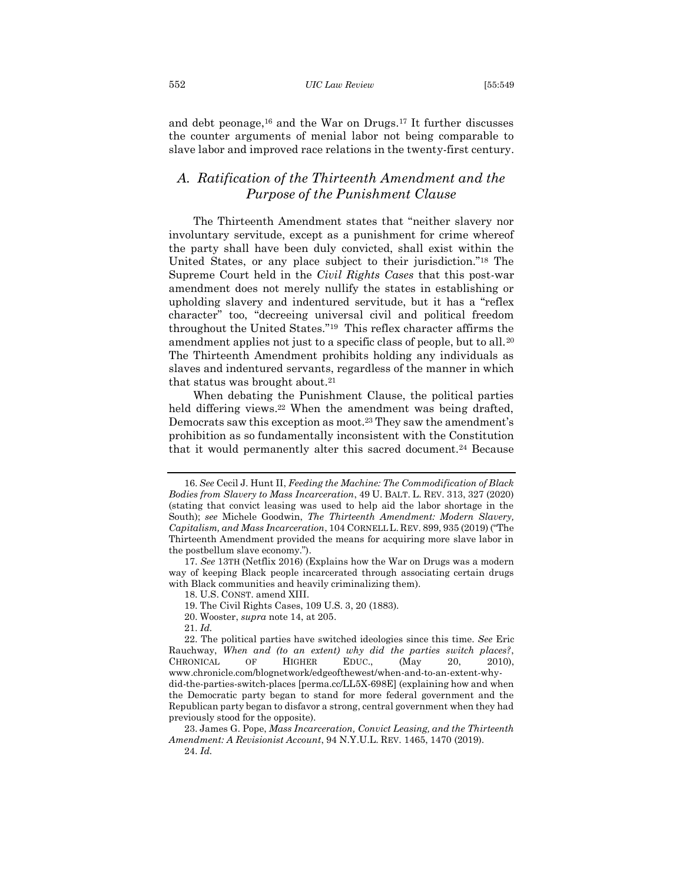#### 552 *UIC Law Review* [55:549

and debt peonage, <sup>16</sup> and the War on Drugs.<sup>17</sup> It further discusses the counter arguments of menial labor not being comparable to slave labor and improved race relations in the twenty-first century.

# <span id="page-4-0"></span>*A. Ratification of the Thirteenth Amendment and the Purpose of the Punishment Clause*

The Thirteenth Amendment states that "neither slavery nor involuntary servitude, except as a punishment for crime whereof the party shall have been duly convicted, shall exist within the United States, or any place subject to their jurisdiction."<sup>18</sup> The Supreme Court held in the *Civil Rights Cases* that this post-war amendment does not merely nullify the states in establishing or upholding slavery and indentured servitude, but it has a "reflex character" too, "decreeing universal civil and political freedom throughout the United States."19 This reflex character affirms the amendment applies not just to a specific class of people, but to all.<sup>20</sup> The Thirteenth Amendment prohibits holding any individuals as slaves and indentured servants, regardless of the manner in which that status was brought about.<sup>21</sup>

When debating the Punishment Clause, the political parties held differing views.<sup>22</sup> When the amendment was being drafted, Democrats saw this exception as moot.<sup>23</sup> They saw the amendment's prohibition as so fundamentally inconsistent with the Constitution that it would permanently alter this sacred document.<sup>24</sup> Because

<sup>16.</sup> *See* Cecil J. Hunt II, *Feeding the Machine: The Commodification of Black Bodies from Slavery to Mass Incarceration*, 49 U. BALT. L. REV. 313, 327 (2020) (stating that convict leasing was used to help aid the labor shortage in the South); *see* Michele Goodwin, *The Thirteenth Amendment: Modern Slavery, Capitalism, and Mass Incarceration*, 104 CORNELL L. REV. 899, 935 (2019) ("The Thirteenth Amendment provided the means for acquiring more slave labor in the postbellum slave economy.").

<sup>17.</sup> *See* 13TH (Netflix 2016) (Explains how the War on Drugs was a modern way of keeping Black people incarcerated through associating certain drugs with Black communities and heavily criminalizing them).

<sup>18.</sup> U.S. CONST. amend XIII.

<sup>19.</sup> The Civil Rights Cases, 109 U.S. 3, 20 (1883).

<sup>20.</sup> Wooster, *supra* note 14, at 205.

<sup>21.</sup> *Id.*

<sup>22.</sup> The political parties have switched ideologies since this time. *See* Eric Rauchway, *When and (to an extent) why did the parties switch places?*, CHRONICAL OF HIGHER EDUC., (May 20, 2010), www.chronicle.com/blognetwork/edgeofthewest/when-and-to-an-extent-whydid-the-parties-switch-places [perma.cc/LL5X-698E] (explaining how and when the Democratic party began to stand for more federal government and the Republican party began to disfavor a strong, central government when they had previously stood for the opposite).

<sup>23.</sup> James G. Pope, *Mass Incarceration, Convict Leasing, and the Thirteenth Amendment: A Revisionist Account*, 94 N.Y.U.L. REV. 1465, 1470 (2019). 24. *Id.*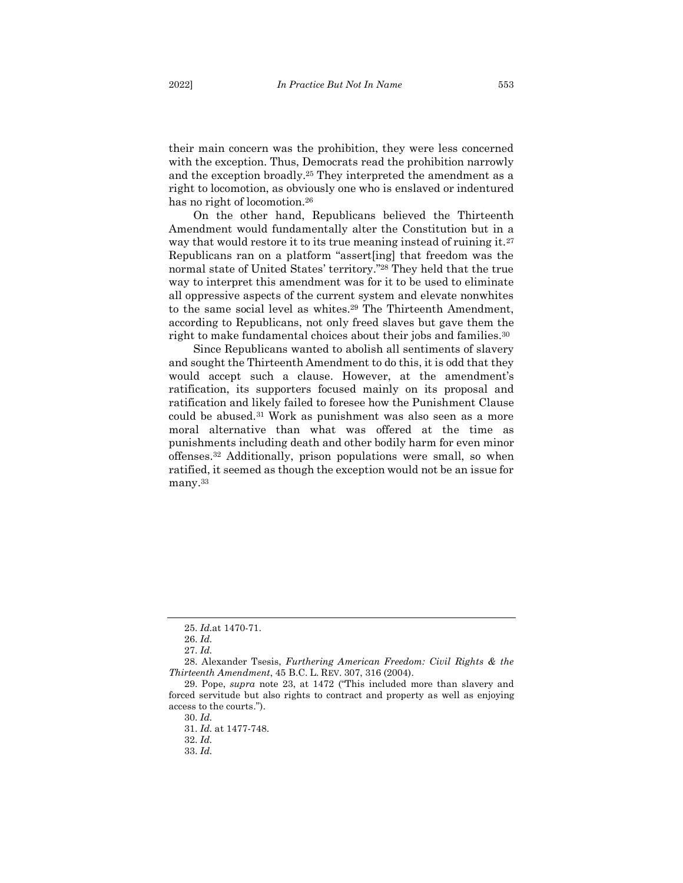their main concern was the prohibition, they were less concerned with the exception. Thus, Democrats read the prohibition narrowly and the exception broadly.<sup>25</sup> They interpreted the amendment as a right to locomotion, as obviously one who is enslaved or indentured has no right of locomotion.<sup>26</sup>

On the other hand, Republicans believed the Thirteenth Amendment would fundamentally alter the Constitution but in a way that would restore it to its true meaning instead of ruining it.<sup>27</sup> Republicans ran on a platform "assert[ing] that freedom was the normal state of United States' territory." <sup>28</sup> They held that the true way to interpret this amendment was for it to be used to eliminate all oppressive aspects of the current system and elevate nonwhites to the same social level as whites.<sup>29</sup> The Thirteenth Amendment, according to Republicans, not only freed slaves but gave them the right to make fundamental choices about their jobs and families.<sup>30</sup>

Since Republicans wanted to abolish all sentiments of slavery and sought the Thirteenth Amendment to do this, it is odd that they would accept such a clause. However, at the amendment's ratification, its supporters focused mainly on its proposal and ratification and likely failed to foresee how the Punishment Clause could be abused.<sup>31</sup> Work as punishment was also seen as a more moral alternative than what was offered at the time as punishments including death and other bodily harm for even minor offenses.<sup>32</sup> Additionally, prison populations were small, so when ratified, it seemed as though the exception would not be an issue for many. 33

<sup>25.</sup> *Id.*at 1470-71.

<sup>26.</sup> *Id.*

<sup>27.</sup> *Id.*

<sup>28.</sup> Alexander Tsesis, *Furthering American Freedom: Civil Rights & the Thirteenth Amendment*, 45 B.C. L. REV. 307, 316 (2004).

<sup>29.</sup> Pope, *supra* note 23, at 1472 ("This included more than slavery and forced servitude but also rights to contract and property as well as enjoying access to the courts.").

<sup>30.</sup> *Id.*

<sup>31.</sup> *Id.* at 1477-748.

<sup>32.</sup> *Id.*

<sup>33.</sup> *Id.*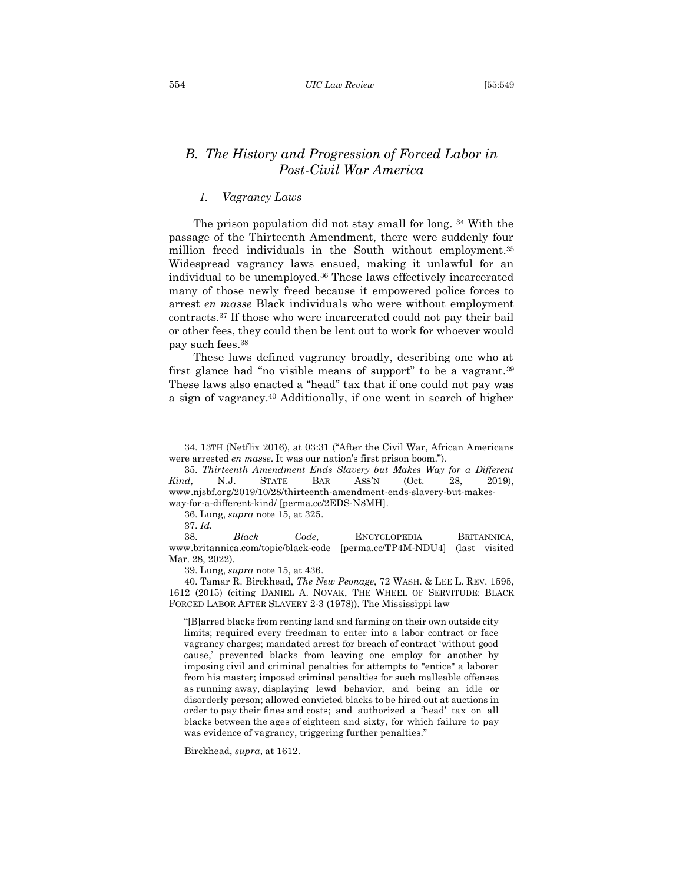#### 554 *UIC Law Review* [55:549

# <span id="page-6-0"></span>*B. The History and Progression of Forced Labor in Post-Civil War America*

## <span id="page-6-1"></span>*1. Vagrancy Laws*

The prison population did not stay small for long. <sup>34</sup> With the passage of the Thirteenth Amendment, there were suddenly four million freed individuals in the South without employment. 35 Widespread vagrancy laws ensued, making it unlawful for an individual to be unemployed.<sup>36</sup> These laws effectively incarcerated many of those newly freed because it empowered police forces to arrest *en masse* Black individuals who were without employment contracts.<sup>37</sup> If those who were incarcerated could not pay their bail or other fees, they could then be lent out to work for whoever would pay such fees.<sup>38</sup>

These laws defined vagrancy broadly, describing one who at first glance had "no visible means of support" to be a vagrant.<sup>39</sup> These laws also enacted a "head" tax that if one could not pay was a sign of vagrancy.<sup>40</sup> Additionally, if one went in search of higher

36. Lung, *supra* note 15, at 325.

37. *Id.*

38. *Black Code*, ENCYCLOPEDIA BRITANNICA, www.britannica.com/topic/black-code [perma.cc/TP4M-NDU4] (last visited Mar. 28, 2022).

39. Lung, *supra* note 15, at 436.

40. Tamar R. Birckhead, *The New Peonage*, 72 WASH. & LEE L. REV. 1595, 1612 (2015) (citing DANIEL A. NOVAK, THE WHEEL OF SERVITUDE: BLACK FORCED LABOR AFTER SLAVERY 2-3 (1978)). The Mississippi law

"[B]arred blacks from renting land and farming on their own outside city limits; required every freedman to enter into a labor contract or face vagrancy charges; mandated arrest for breach of contract 'without good cause,' prevented blacks from leaving one employ for another by imposing civil and criminal penalties for attempts to "entice" a laborer from his master; imposed criminal penalties for such malleable offenses as running away, displaying lewd behavior, and being an idle or disorderly person; allowed convicted blacks to be hired out at auctions in order to pay their fines and costs; and authorized a 'head' tax on all blacks between the ages of eighteen and sixty, for which failure to pay was evidence of vagrancy, triggering further penalties."

Birckhead, *supra*, at 1612.

<sup>34. 13</sup>TH (Netflix 2016), at 03:31 ("After the Civil War, African Americans were arrested *en masse*. It was our nation's first prison boom.").

<sup>35.</sup> *Thirteenth Amendment Ends Slavery but Makes Way for a Different Kind*, N.J. STATE BAR ASS'N (Oct. 28, 2019), www.njsbf.org/2019/10/28/thirteenth-amendment-ends-slavery-but-makesway-for-a-different-kind/ [perma.cc/2EDS-N8MH].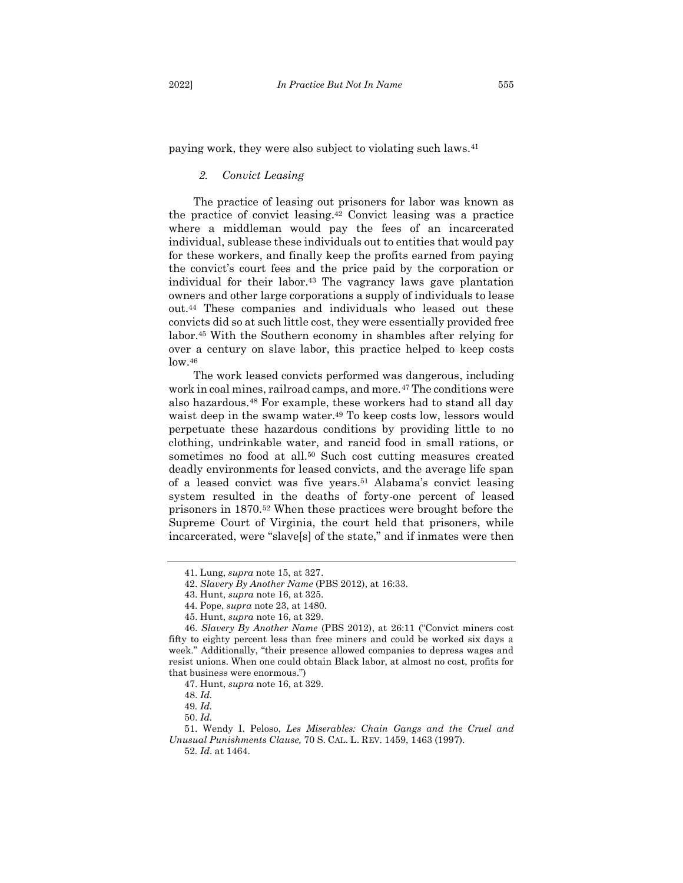paying work, they were also subject to violating such laws.<sup>41</sup>

## <span id="page-7-0"></span>*2. Convict Leasing*

The practice of leasing out prisoners for labor was known as the practice of convict leasing.<sup>42</sup> Convict leasing was a practice where a middleman would pay the fees of an incarcerated individual, sublease these individuals out to entities that would pay for these workers, and finally keep the profits earned from paying the convict's court fees and the price paid by the corporation or individual for their labor.<sup>43</sup> The vagrancy laws gave plantation owners and other large corporations a supply of individuals to lease out.<sup>44</sup> These companies and individuals who leased out these convicts did so at such little cost, they were essentially provided free labor.<sup>45</sup> With the Southern economy in shambles after relying for over a century on slave labor, this practice helped to keep costs low. 46

The work leased convicts performed was dangerous, including work in coal mines, railroad camps, and more.<sup>47</sup> The conditions were also hazardous.<sup>48</sup> For example, these workers had to stand all day waist deep in the swamp water.<sup>49</sup> To keep costs low, lessors would perpetuate these hazardous conditions by providing little to no clothing, undrinkable water, and rancid food in small rations, or sometimes no food at all.<sup>50</sup> Such cost cutting measures created deadly environments for leased convicts, and the average life span of a leased convict was five years.<sup>51</sup> Alabama's convict leasing system resulted in the deaths of forty-one percent of leased prisoners in 1870.<sup>52</sup> When these practices were brought before the Supreme Court of Virginia, the court held that prisoners, while incarcerated, were "slave[s] of the state," and if inmates were then

<sup>41.</sup> Lung, *supra* note 15, at 327.

<sup>42.</sup> *Slavery By Another Name* (PBS 2012), at 16:33.

<sup>43.</sup> Hunt, *supra* note 16, at 325.

<sup>44.</sup> Pope, *supra* note 23, at 1480.

<sup>45.</sup> Hunt, *supra* note 16, at 329.

<sup>46.</sup> *Slavery By Another Name* (PBS 2012), at 26:11 ("Convict miners cost fifty to eighty percent less than free miners and could be worked six days a week." Additionally, "their presence allowed companies to depress wages and resist unions. When one could obtain Black labor, at almost no cost, profits for that business were enormous.")

<sup>47.</sup> Hunt, *supra* note 16, at 329.

<sup>48.</sup> *Id.*

<sup>49</sup>*. Id.*

<sup>50.</sup> *Id.*

<sup>51.</sup> Wendy I. Peloso, *Les Miserables: Chain Gangs and the Cruel and Unusual Punishments Clause,* 70 S. CAL. L. REV. 1459, 1463 (1997).

<sup>52</sup>*. Id*. at 1464.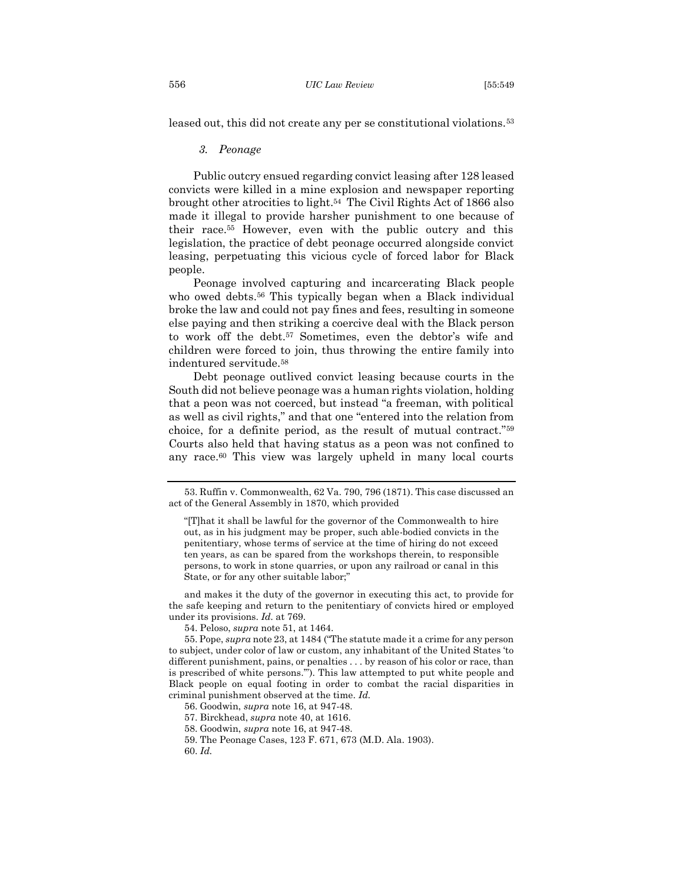<span id="page-8-0"></span>leased out, this did not create any per se constitutional violations.<sup>53</sup>

## *3. Peonage*

Public outcry ensued regarding convict leasing after 128 leased convicts were killed in a mine explosion and newspaper reporting brought other atrocities to light.<sup>54</sup> The Civil Rights Act of 1866 also made it illegal to provide harsher punishment to one because of their race. <sup>55</sup> However, even with the public outcry and this legislation, the practice of debt peonage occurred alongside convict leasing, perpetuating this vicious cycle of forced labor for Black people.

Peonage involved capturing and incarcerating Black people who owed debts.<sup>56</sup> This typically began when a Black individual broke the law and could not pay fines and fees, resulting in someone else paying and then striking a coercive deal with the Black person to work off the debt.<sup>57</sup> Sometimes, even the debtor's wife and children were forced to join, thus throwing the entire family into indentured servitude.<sup>58</sup>

Debt peonage outlived convict leasing because courts in the South did not believe peonage was a human rights violation, holding that a peon was not coerced, but instead "a freeman, with political as well as civil rights," and that one "entered into the relation from choice, for a definite period, as the result of mutual contract."<sup>59</sup> Courts also held that having status as a peon was not confined to any race.<sup>60</sup> This view was largely upheld in many local courts

and makes it the duty of the governor in executing this act, to provide for the safe keeping and return to the penitentiary of convicts hired or employed under its provisions. *Id.* at 769.

54. Peloso, *supra* note 51, at 1464.

<sup>53.</sup> Ruffin v. Commonwealth, 62 Va. 790, 796 (1871). This case discussed an act of the General Assembly in 1870, which provided

<sup>&</sup>quot;[T]hat it shall be lawful for the governor of the Commonwealth to hire out, as in his judgment may be proper, such able-bodied convicts in the penitentiary, whose terms of service at the time of hiring do not exceed ten years, as can be spared from the workshops therein, to responsible persons, to work in stone quarries, or upon any railroad or canal in this State, or for any other suitable labor;"

<sup>55.</sup> Pope, *supra* note 23, at 1484 ("The statute made it a crime for any person to subject, under color of law or custom, any inhabitant of the United States 'to different punishment, pains, or penalties . . . by reason of his color or race, than is prescribed of white persons.'"). This law attempted to put white people and Black people on equal footing in order to combat the racial disparities in criminal punishment observed at the time. *Id.*

<sup>56.</sup> Goodwin, *supra* note 16, at 947-48.

<sup>57.</sup> Birckhead, *supra* note 40, at 1616.

<sup>58.</sup> Goodwin, *supra* note 16, at 947-48.

<sup>59.</sup> The Peonage Cases, 123 F. 671, 673 (M.D. Ala. 1903).

<sup>60.</sup> *Id.*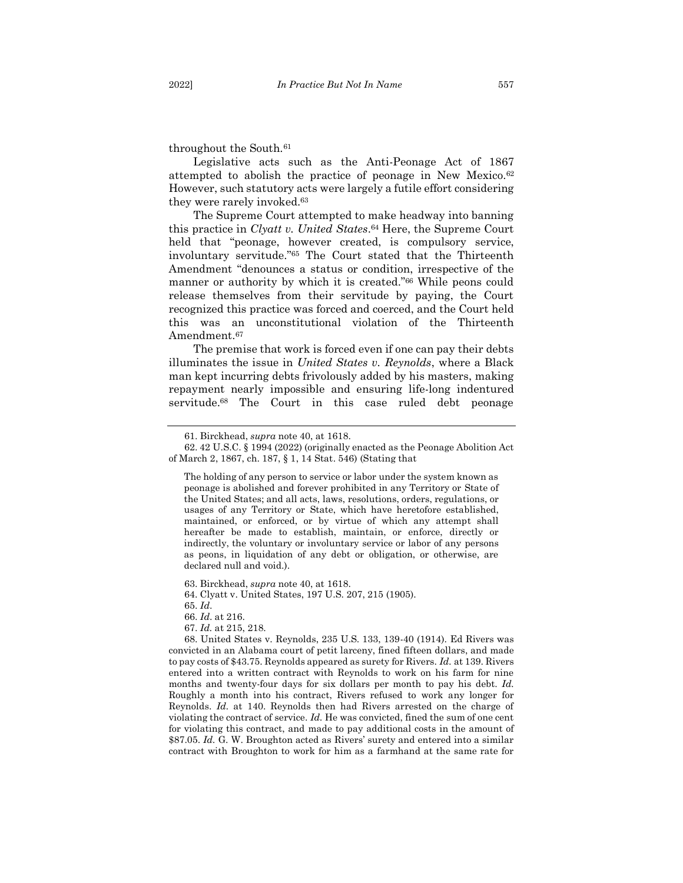throughout the South.<sup>61</sup>

Legislative acts such as the Anti-Peonage Act of 1867 attempted to abolish the practice of peonage in New Mexico.<sup>62</sup> However, such statutory acts were largely a futile effort considering they were rarely invoked.<sup>63</sup>

The Supreme Court attempted to make headway into banning this practice in *Clyatt v. United States*. <sup>64</sup> Here, the Supreme Court held that "peonage, however created, is compulsory service, involuntary servitude."<sup>65</sup> The Court stated that the Thirteenth Amendment "denounces a status or condition, irrespective of the manner or authority by which it is created."<sup>66</sup> While peons could release themselves from their servitude by paying, the Court recognized this practice was forced and coerced, and the Court held this was an unconstitutional violation of the Thirteenth Amendment.<sup>67</sup>

The premise that work is forced even if one can pay their debts illuminates the issue in *United States v. Reynolds*, where a Black man kept incurring debts frivolously added by his masters, making repayment nearly impossible and ensuring life-long indentured servitude.<sup>68</sup> The Court in this case ruled debt peonage

63. Birckhead, *supra* note 40, at 1618.

64. Clyatt v. United States, 197 U.S. 207, 215 (1905).

65. *Id*.

66. *Id*. at 216.

67. *Id.* at 215, 218.

68. United States v. Reynolds, 235 U.S. 133, 139-40 (1914). Ed Rivers was convicted in an Alabama court of petit larceny, fined fifteen dollars, and made to pay costs of \$43.75. Reynolds appeared as surety for Rivers. *Id.* at 139. Rivers entered into a written contract with Reynolds to work on his farm for nine months and twenty-four days for six dollars per month to pay his debt. *Id.*  Roughly a month into his contract, Rivers refused to work any longer for Reynolds. *Id.* at 140. Reynolds then had Rivers arrested on the charge of violating the contract of service. *Id.* He was convicted, fined the sum of one cent for violating this contract, and made to pay additional costs in the amount of \$87.05. *Id.* G. W. Broughton acted as Rivers' surety and entered into a similar contract with Broughton to work for him as a farmhand at the same rate for

<sup>61.</sup> Birckhead, *supra* note 40, at 1618.

<sup>62.</sup> 42 U.S.C. § 1994 (2022) (originally enacted as the Peonage Abolition Act of March 2, 1867, ch. 187, § 1, 14 Stat. 546) (Stating that

The holding of any person to service or labor under the system known as peonage is abolished and forever prohibited in any Territory or State of the United States; and all acts, laws, resolutions, orders, regulations, or usages of any Territory or State, which have heretofore established, maintained, or enforced, or by virtue of which any attempt shall hereafter be made to establish, maintain, or enforce, directly or indirectly, the voluntary or involuntary service or labor of any persons as peons, in liquidation of any debt or obligation, or otherwise, are declared null and void.).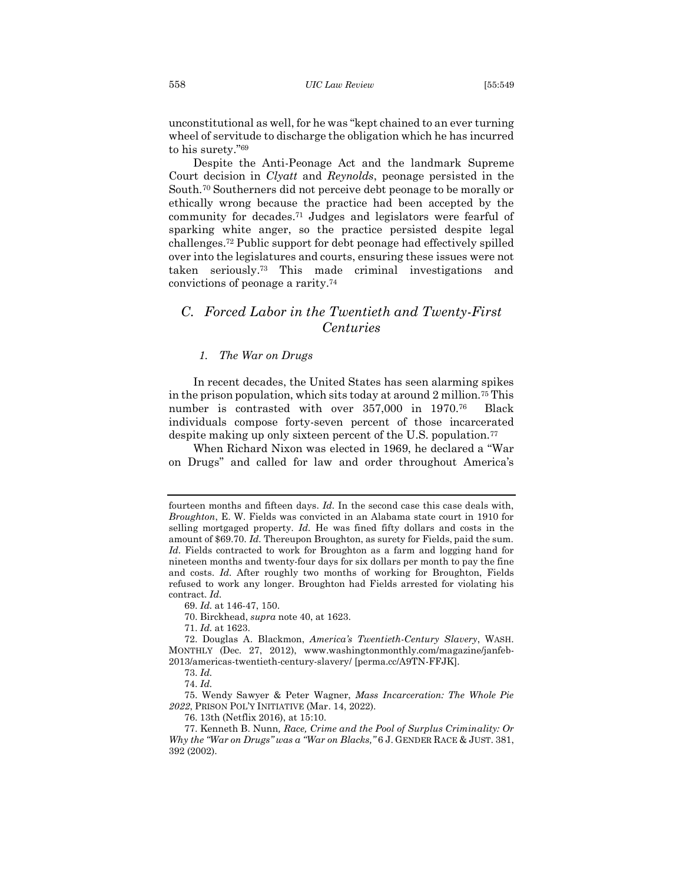unconstitutional as well, for he was "kept chained to an ever turning wheel of servitude to discharge the obligation which he has incurred to his surety."<sup>69</sup>

Despite the Anti-Peonage Act and the landmark Supreme Court decision in *Clyatt* and *Reynolds*, peonage persisted in the South.<sup>70</sup> Southerners did not perceive debt peonage to be morally or ethically wrong because the practice had been accepted by the community for decades.<sup>71</sup> Judges and legislators were fearful of sparking white anger, so the practice persisted despite legal challenges. <sup>72</sup> Public support for debt peonage had effectively spilled over into the legislatures and courts, ensuring these issues were not taken seriously.<sup>73</sup> This made criminal investigations and convictions of peonage a rarity.<sup>74</sup>

# <span id="page-10-0"></span>*C. Forced Labor in the Twentieth and Twenty-First Centuries*

## *1. The War on Drugs*

<span id="page-10-1"></span>In recent decades, the United States has seen alarming spikes in the prison population, which sits today at around 2 million.<sup>75</sup> This number is contrasted with over 357,000 in 1970.76 Black individuals compose forty-seven percent of those incarcerated despite making up only sixteen percent of the U.S. population.<sup>77</sup>

When Richard Nixon was elected in 1969, he declared a "War on Drugs" and called for law and order throughout America's

69. *Id.* at 146-47, 150.

70. Birckhead, *supra* note 40, at 1623.

71. *Id.* at 1623.

75. Wendy Sawyer & Peter Wagner, *Mass Incarceration: The Whole Pie 2022*, PRISON POL'Y INITIATIVE (Mar. 14, 2022).

76. 13th (Netflix 2016), at 15:10.

fourteen months and fifteen days. *Id.* In the second case this case deals with, *Broughton*, E. W. Fields was convicted in an Alabama state court in 1910 for selling mortgaged property. *Id.* He was fined fifty dollars and costs in the amount of \$69.70. *Id.* Thereupon Broughton, as surety for Fields, paid the sum. Id. Fields contracted to work for Broughton as a farm and logging hand for nineteen months and twenty-four days for six dollars per month to pay the fine and costs. *Id.* After roughly two months of working for Broughton, Fields refused to work any longer. Broughton had Fields arrested for violating his contract. *Id.*

<sup>72.</sup> Douglas A. Blackmon, *America's Twentieth-Century Slavery*, WASH. MONTHLY (Dec. 27, 2012), www.washingtonmonthly.com/magazine/janfeb-2013/americas-twentieth-century-slavery/ [perma.cc/A9TN-FFJK].

<sup>73.</sup> *Id.*

<sup>74.</sup> *Id.*

<sup>77.</sup> Kenneth B. Nunn*, Race, Crime and the Pool of Surplus Criminality: Or Why the "War on Drugs" was a "War on Blacks,"* 6 J. GENDER RACE & JUST. 381, 392 (2002).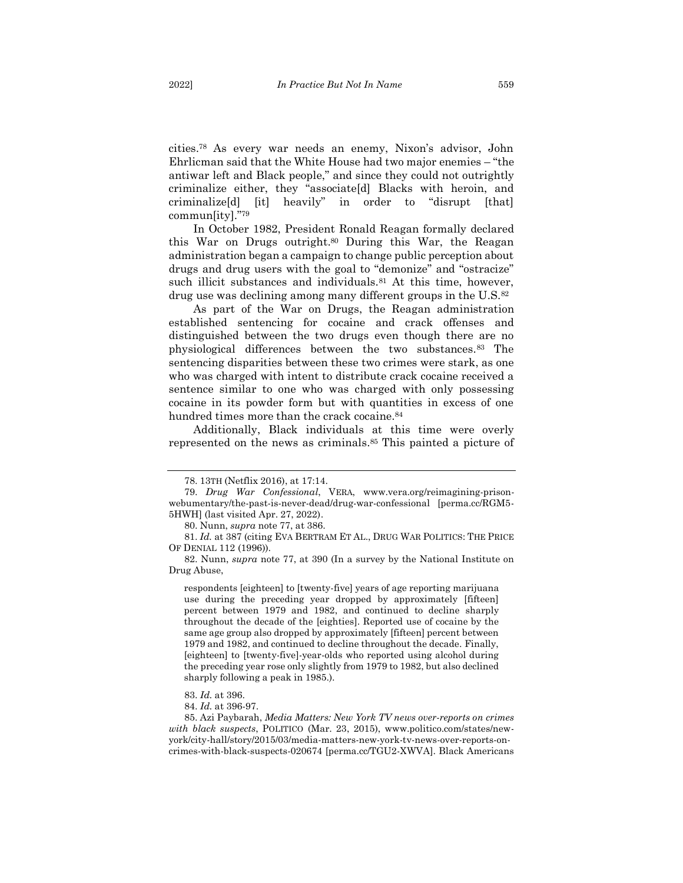cities.<sup>78</sup> As every war needs an enemy, Nixon's advisor, John Ehrlicman said that the White House had two major enemies – "the antiwar left and Black people," and since they could not outrightly criminalize either, they "associate[d] Blacks with heroin, and criminalize[d] [it] heavily" in order to "disrupt [that] commun[ity]."<sup>79</sup>

In October 1982, President Ronald Reagan formally declared this War on Drugs outright. <sup>80</sup> During this War, the Reagan administration began a campaign to change public perception about drugs and drug users with the goal to "demonize" and "ostracize" such illicit substances and individuals.<sup>81</sup> At this time, however, drug use was declining among many different groups in the U.S.<sup>82</sup>

As part of the War on Drugs, the Reagan administration established sentencing for cocaine and crack offenses and distinguished between the two drugs even though there are no physiological differences between the two substances.<sup>83</sup> The sentencing disparities between these two crimes were stark, as one who was charged with intent to distribute crack cocaine received a sentence similar to one who was charged with only possessing cocaine in its powder form but with quantities in excess of one hundred times more than the crack cocaine.<sup>84</sup>

Additionally, Black individuals at this time were overly represented on the news as criminals.<sup>85</sup> This painted a picture of

respondents [eighteen] to [twenty-five] years of age reporting marijuana use during the preceding year dropped by approximately [fifteen] percent between 1979 and 1982, and continued to decline sharply throughout the decade of the [eighties]. Reported use of cocaine by the same age group also dropped by approximately [fifteen] percent between 1979 and 1982, and continued to decline throughout the decade. Finally, [eighteen] to [twenty-five]-year-olds who reported using alcohol during the preceding year rose only slightly from 1979 to 1982, but also declined sharply following a peak in 1985.).

85. Azi Paybarah, *Media Matters: New York TV news over-reports on crimes with black suspects*, POLITICO (Mar. 23, 2015), www.politico.com/states/newyork/city-hall/story/2015/03/media-matters-new-york-tv-news-over-reports-oncrimes-with-black-suspects-020674 [perma.cc/TGU2-XWVA]. Black Americans

<sup>78.</sup> 13TH (Netflix 2016), at 17:14.

<sup>79.</sup> *Drug War Confessional*, VERA, www.vera.org/reimagining-prisonwebumentary/the-past-is-never-dead/drug-war-confessional [perma.cc/RGM5- 5HWH] (last visited Apr. 27, 2022).

<sup>80.</sup> Nunn, *supra* note 77, at 386.

<sup>81.</sup> *Id.* at 387 (citing EVA BERTRAM ET AL., DRUG WAR POLITICS: THE PRICE OF DENIAL 112 (1996)).

<sup>82.</sup> Nunn, *supra* note 77, at 390 (In a survey by the National Institute on Drug Abuse,

<sup>83.</sup> *Id.* at 396.

<sup>84.</sup> *Id.* at 396-97.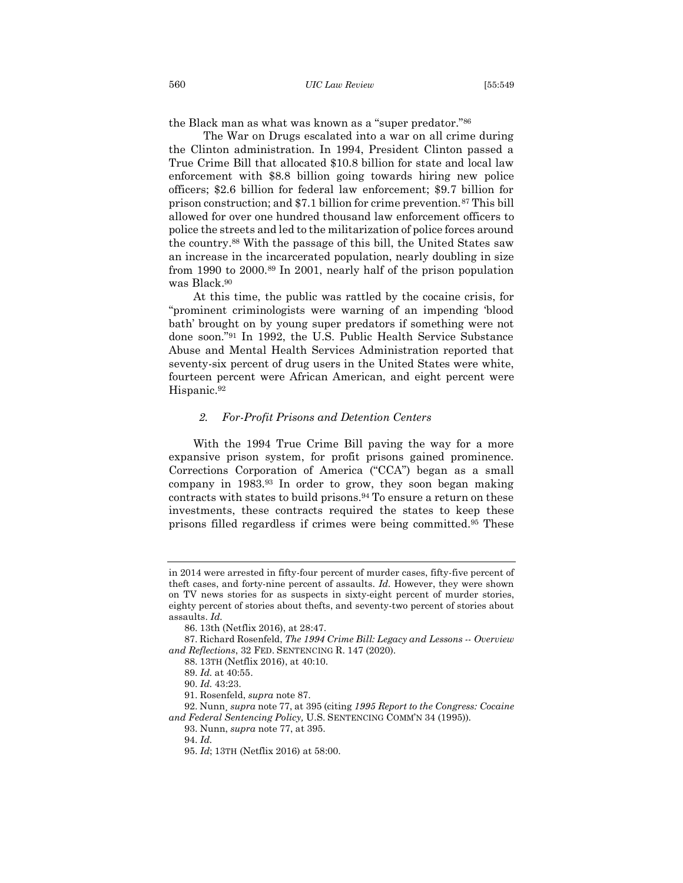the Black man as what was known as a "super predator."<sup>86</sup>

The War on Drugs escalated into a war on all crime during the Clinton administration. In 1994, President Clinton passed a True Crime Bill that allocated \$10.8 billion for state and local law enforcement with \$8.8 billion going towards hiring new police officers; \$2.6 billion for federal law enforcement; \$9.7 billion for prison construction; and \$7.1 billion for crime prevention.<sup>87</sup> This bill allowed for over one hundred thousand law enforcement officers to police the streets and led to the militarization of police forces around the country.<sup>88</sup> With the passage of this bill, the United States saw an increase in the incarcerated population, nearly doubling in size from 1990 to 2000.<sup>89</sup> In 2001, nearly half of the prison population was Black.<sup>90</sup>

At this time, the public was rattled by the cocaine crisis, for "prominent criminologists were warning of an impending 'blood bath' brought on by young super predators if something were not done soon."<sup>91</sup> In 1992, the U.S. Public Health Service Substance Abuse and Mental Health Services Administration reported that seventy-six percent of drug users in the United States were white, fourteen percent were African American, and eight percent were Hispanic.<sup>92</sup>

#### <span id="page-12-0"></span>*2. For-Profit Prisons and Detention Centers*

With the 1994 True Crime Bill paving the way for a more expansive prison system, for profit prisons gained prominence. Corrections Corporation of America ("CCA") began as a small company in 1983.<sup>93</sup> In order to grow, they soon began making contracts with states to build prisons.<sup>94</sup> To ensure a return on these investments, these contracts required the states to keep these prisons filled regardless if crimes were being committed.<sup>95</sup> These

in 2014 were arrested in fifty-four percent of murder cases, fifty-five percent of theft cases, and forty-nine percent of assaults. *Id.* However, they were shown on TV news stories for as suspects in sixty-eight percent of murder stories, eighty percent of stories about thefts, and seventy-two percent of stories about assaults. *Id.*

<sup>86.</sup> 13th (Netflix 2016), at 28:47.

<sup>87.</sup> Richard Rosenfeld, *The 1994 Crime Bill: Legacy and Lessons -- Overview and Reflections*, 32 FED. SENTENCING R. 147 (2020).

<sup>88.</sup> 13TH (Netflix 2016), at 40:10.

<sup>89.</sup> *Id.* at 40:55.

<sup>90.</sup> *Id.* 43:23.

<sup>91.</sup> Rosenfeld, *supra* note 87.

<sup>92.</sup> Nunn¸ *supra* note 77, at 395 (citing *1995 Report to the Congress: Cocaine and Federal Sentencing Policy,* U.S. SENTENCING COMM'N 34 (1995)).

<sup>93.</sup> Nunn, *supra* note 77, at 395.

<sup>95.</sup> *Id*; 13TH (Netflix 2016) at 58:00.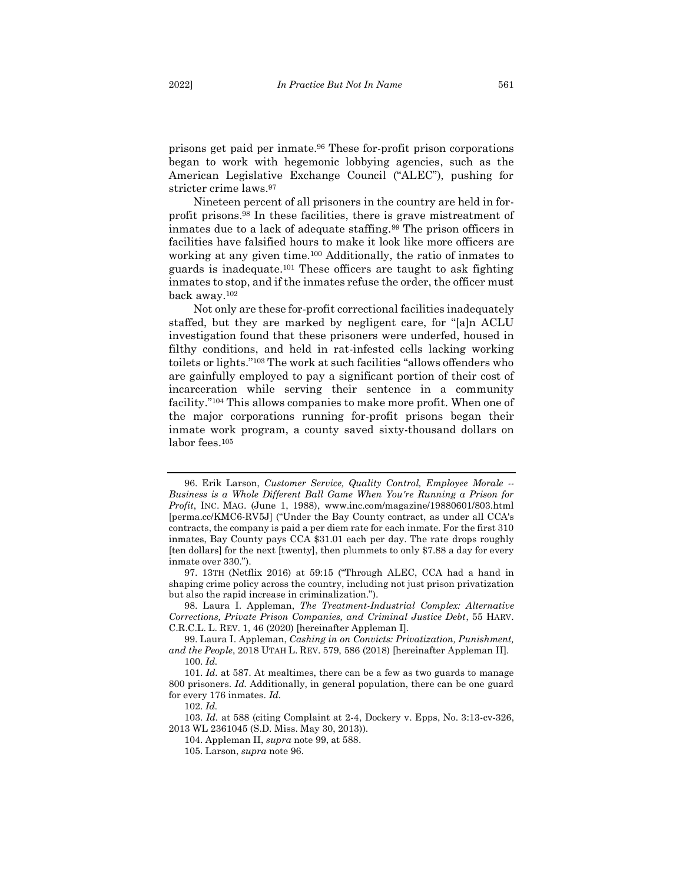prisons get paid per inmate.<sup>96</sup> These for-profit prison corporations began to work with hegemonic lobbying agencies, such as the American Legislative Exchange Council ("ALEC"), pushing for stricter crime laws.<sup>97</sup>

Nineteen percent of all prisoners in the country are held in forprofit prisons.<sup>98</sup> In these facilities, there is grave mistreatment of inmates due to a lack of adequate staffing.<sup>99</sup> The prison officers in facilities have falsified hours to make it look like more officers are working at any given time.<sup>100</sup> Additionally, the ratio of inmates to guards is inadequate.<sup>101</sup> These officers are taught to ask fighting inmates to stop, and if the inmates refuse the order, the officer must back away.<sup>102</sup>

Not only are these for-profit correctional facilities inadequately staffed, but they are marked by negligent care, for "[a]n ACLU investigation found that these prisoners were underfed, housed in filthy conditions, and held in rat-infested cells lacking working toilets or lights."<sup>103</sup> The work at such facilities "allows offenders who are gainfully employed to pay a significant portion of their cost of incarceration while serving their sentence in a community facility."<sup>104</sup> This allows companies to make more profit. When one of the major corporations running for-profit prisons began their inmate work program, a county saved sixty-thousand dollars on labor fees.<sup>105</sup>

<sup>96.</sup> Erik Larson, *Customer Service, Quality Control, Employee Morale -- Business is a Whole Different Ball Game When You're Running a Prison for Profit*, INC. MAG. (June 1, 1988), www.inc.com/magazine/19880601/803.html [perma.cc/KMC6-RV5J] ("Under the Bay County contract, as under all CCA's contracts, the company is paid a per diem rate for each inmate. For the first 310 inmates, Bay County pays CCA \$31.01 each per day. The rate drops roughly [ten dollars] for the next [twenty], then plummets to only \$7.88 a day for every inmate over 330.").

<sup>97.</sup> 13TH (Netflix 2016) at 59:15 ("Through ALEC, CCA had a hand in shaping crime policy across the country, including not just prison privatization but also the rapid increase in criminalization.").

<sup>98.</sup> Laura I. Appleman, *The Treatment-Industrial Complex: Alternative Corrections, Private Prison Companies, and Criminal Justice Debt*, 55 HARV. C.R.C.L. L. REV. 1, 46 (2020) [hereinafter Appleman I].

<sup>99.</sup> Laura I. Appleman, *Cashing in on Convicts: Privatization, Punishment, and the People*, 2018 UTAH L. REV. 579, 586 (2018) [hereinafter Appleman II]. 100. *Id.*

<sup>101.</sup> *Id.* at 587. At mealtimes, there can be a few as two guards to manage 800 prisoners. *Id.* Additionally, in general population, there can be one guard for every 176 inmates. *Id.*

<sup>103.</sup> *Id.* at 588 (citing Complaint at 2-4, Dockery v. Epps, No. 3:13-cv-326, 2013 WL 2361045 (S.D. Miss. May 30, 2013)).

<sup>104.</sup> Appleman II, *supra* note 99, at 588.

<sup>105.</sup> Larson, *supra* note 96.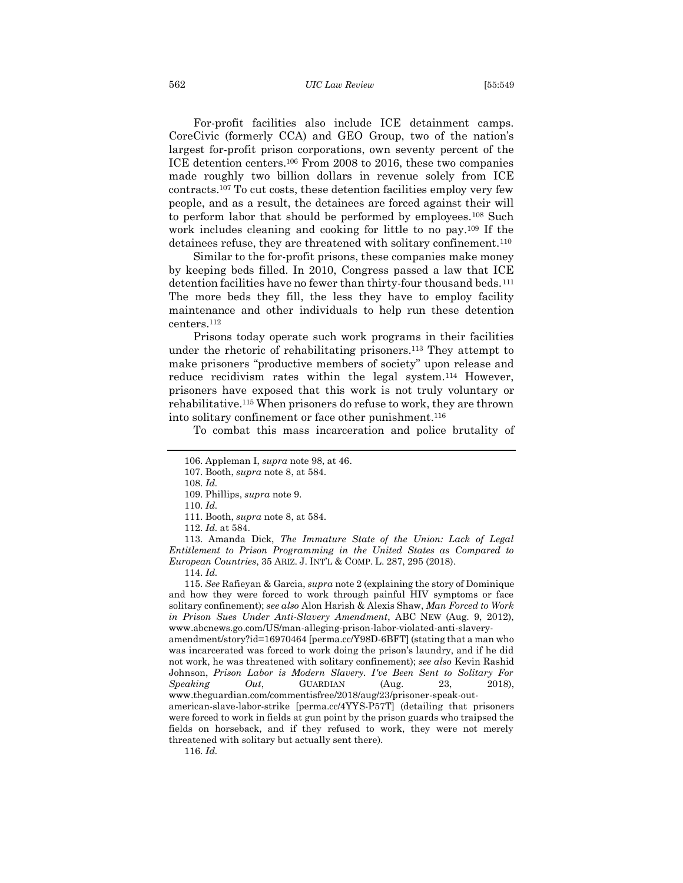#### 562 *UIC Law Review* [55:549

For-profit facilities also include ICE detainment camps. CoreCivic (formerly CCA) and GEO Group, two of the nation's largest for-profit prison corporations, own seventy percent of the ICE detention centers.<sup>106</sup> From 2008 to 2016, these two companies made roughly two billion dollars in revenue solely from ICE contracts.<sup>107</sup> To cut costs, these detention facilities employ very few people, and as a result, the detainees are forced against their will to perform labor that should be performed by employees.<sup>108</sup> Such work includes cleaning and cooking for little to no pay.<sup>109</sup> If the detainees refuse, they are threatened with solitary confinement.<sup>110</sup>

Similar to the for-profit prisons, these companies make money by keeping beds filled. In 2010, Congress passed a law that ICE detention facilities have no fewer than thirty-four thousand beds.<sup>111</sup> The more beds they fill, the less they have to employ facility maintenance and other individuals to help run these detention centers.<sup>112</sup>

Prisons today operate such work programs in their facilities under the rhetoric of rehabilitating prisoners.<sup>113</sup> They attempt to make prisoners "productive members of society" upon release and reduce recidivism rates within the legal system.<sup>114</sup> However, prisoners have exposed that this work is not truly voluntary or rehabilitative. <sup>115</sup> When prisoners do refuse to work, they are thrown into solitary confinement or face other punishment. 116

To combat this mass incarceration and police brutality of

108. *Id.*

113. Amanda Dick, *The Immature State of the Union: Lack of Legal Entitlement to Prison Programming in the United States as Compared to European Countries*, 35 ARIZ. J. INT'L & COMP. L. 287, 295 (2018).

114. *Id.* 

115. *See* Rafieyan & Garcia, *supra* note 2 (explaining the story of Dominique and how they were forced to work through painful HIV symptoms or face solitary confinement); *see also* Alon Harish & Alexis Shaw, *Man Forced to Work in Prison Sues Under Anti-Slavery Amendment*, ABC NEW (Aug. 9, 2012), www.abcnews.go.com/US/man-alleging-prison-labor-violated-anti-slavery-

amendment/story?id=16970464 [perma.cc/Y98D-6BFT] (stating that a man who was incarcerated was forced to work doing the prison's laundry, and if he did not work, he was threatened with solitary confinement); *see also* Kevin Rashid Johnson, *Prison Labor is Modern Slavery. I've Been Sent to Solitary For Speaking Out*, GUARDIAN (Aug. 23, 2018), www.theguardian.com/commentisfree/2018/aug/23/prisoner-speak-out-

american-slave-labor-strike [perma.cc/4YYS-P57T] (detailing that prisoners were forced to work in fields at gun point by the prison guards who traipsed the fields on horseback, and if they refused to work, they were not merely threatened with solitary but actually sent there).

<sup>106.</sup> Appleman I, *supra* note 98, at 46.

<sup>107.</sup> Booth, *supra* note 8, at 584.

<sup>109.</sup> Phillips, *supra* note 9.

<sup>110.</sup> *Id.*

<sup>111.</sup> Booth, *supra* note 8, at 584.

<sup>112.</sup> *Id.* at 584.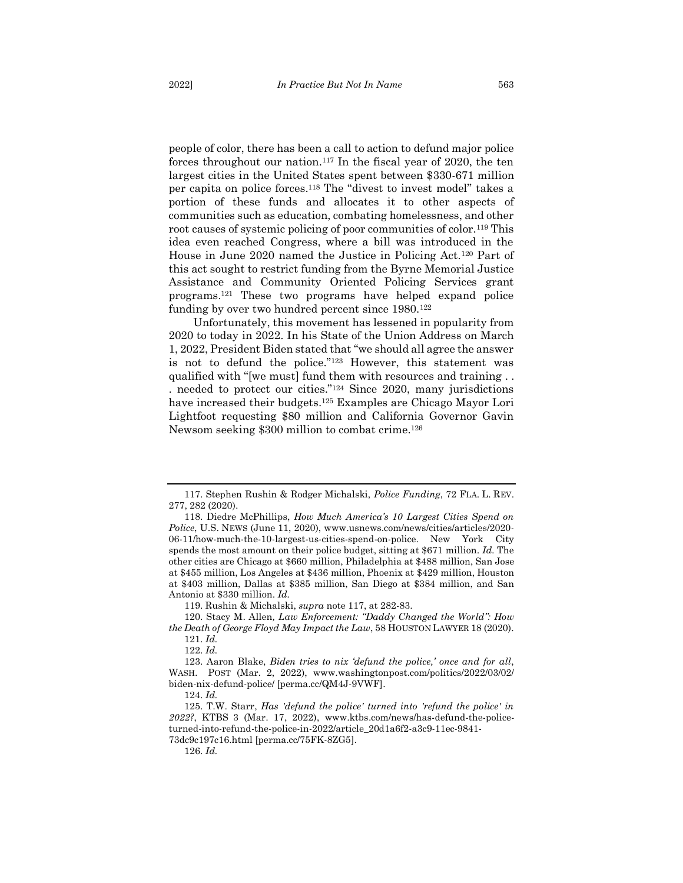people of color, there has been a call to action to defund major police forces throughout our nation. <sup>117</sup> In the fiscal year of 2020, the ten largest cities in the United States spent between \$330-671 million per capita on police forces.<sup>118</sup> The "divest to invest model" takes a portion of these funds and allocates it to other aspects of communities such as education, combating homelessness, and other root causes of systemic policing of poor communities of color.<sup>119</sup> This idea even reached Congress, where a bill was introduced in the House in June 2020 named the Justice in Policing Act.<sup>120</sup> Part of this act sought to restrict funding from the Byrne Memorial Justice Assistance and Community Oriented Policing Services grant programs.<sup>121</sup> These two programs have helped expand police funding by over two hundred percent since 1980.<sup>122</sup>

Unfortunately, this movement has lessened in popularity from 2020 to today in 2022. In his State of the Union Address on March 1, 2022, President Biden stated that "we should all agree the answer is not to defund the police."<sup>123</sup> However, this statement was qualified with "[we must] fund them with resources and training . . . needed to protect our cities."<sup>124</sup> Since 2020, many jurisdictions have increased their budgets.<sup>125</sup> Examples are Chicago Mayor Lori Lightfoot requesting \$80 million and California Governor Gavin Newsom seeking \$300 million to combat crime.<sup>126</sup>

119. Rushin & Michalski, *supra* note 117, at 282-83.

<sup>117.</sup> Stephen Rushin & Rodger Michalski, *Police Funding*, 72 FLA. L. REV. 277, 282 (2020).

<sup>118.</sup> Diedre McPhillips, *How Much America's 10 Largest Cities Spend on Police*, U.S. NEWS (June 11, 2020), www.usnews.com/news/cities/articles/2020- 06-11/how-much-the-10-largest-us-cities-spend-on-police. New York City spends the most amount on their police budget, sitting at \$671 million*. Id.* The other cities are Chicago at \$660 million, Philadelphia at \$488 million, San Jose at \$455 million, Los Angeles at \$436 million, Phoenix at \$429 million, Houston at \$403 million, Dallas at \$385 million, San Diego at \$384 million, and San Antonio at \$330 million. *Id.*

<sup>120.</sup> Stacy M. Allen*, Law Enforcement: "Daddy Changed the World": How the Death of George Floyd May Impact the Law*, 58 HOUSTON LAWYER 18 (2020). 121. *Id.*

<sup>122.</sup> *Id.*

<sup>123.</sup> Aaron Blake, *Biden tries to nix 'defund the police,' once and for all*, WASH. POST (Mar. 2, 2022), www.washingtonpost.com/politics/2022/03/02/ biden-nix-defund-police/ [perma.cc/QM4J-9VWF].

<sup>124.</sup> *Id.*

<sup>125.</sup> T.W. Starr, *Has 'defund the police' turned into 'refund the police' in 2022?*, KTBS 3 (Mar. 17, 2022), www.ktbs.com/news/has-defund-the-policeturned-into-refund-the-police-in-2022/article\_20d1a6f2-a3c9-11ec-9841- 73dc9c197c16.html [perma.cc/75FK-8ZG5].

<sup>126.</sup> *Id.*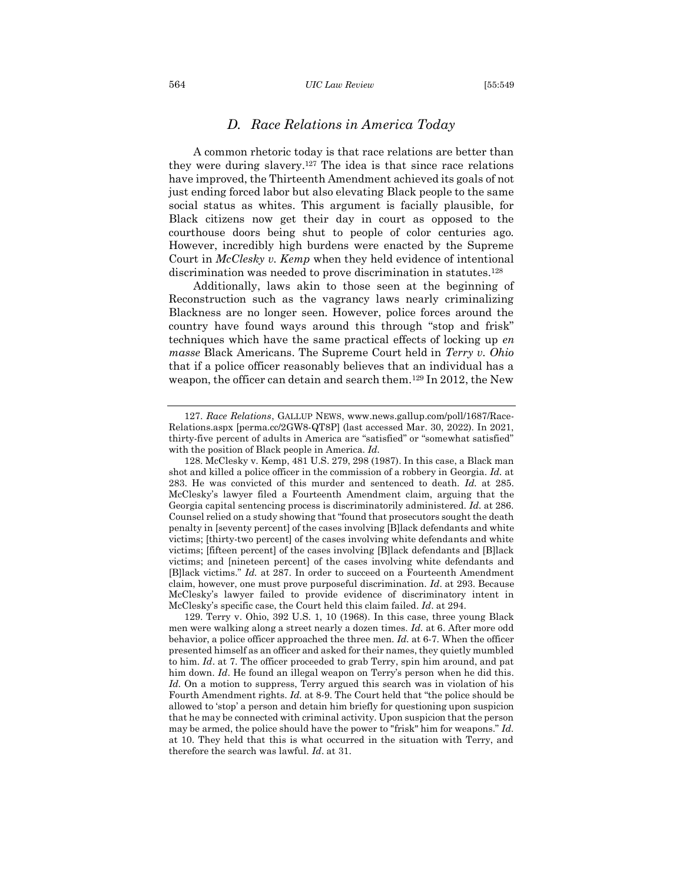#### 564 *UIC Law Review* [55:549

## <span id="page-16-0"></span>*D. Race Relations in America Today*

A common rhetoric today is that race relations are better than they were during slavery.<sup>127</sup> The idea is that since race relations have improved, the Thirteenth Amendment achieved its goals of not just ending forced labor but also elevating Black people to the same social status as whites. This argument is facially plausible, for Black citizens now get their day in court as opposed to the courthouse doors being shut to people of color centuries ago. However, incredibly high burdens were enacted by the Supreme Court in *McClesky v. Kemp* when they held evidence of intentional discrimination was needed to prove discrimination in statutes.<sup>128</sup>

Additionally, laws akin to those seen at the beginning of Reconstruction such as the vagrancy laws nearly criminalizing Blackness are no longer seen. However, police forces around the country have found ways around this through "stop and frisk" techniques which have the same practical effects of locking up *en masse* Black Americans. The Supreme Court held in *Terry v. Ohio* that if a police officer reasonably believes that an individual has a weapon, the officer can detain and search them.<sup>129</sup> In 2012, the New

<sup>127.</sup> *Race Relations*, GALLUP NEWS, www.news.gallup.com/poll/1687/Race-Relations.aspx [perma.cc/2GW8-QT8P] (last accessed Mar. 30, 2022). In 2021, thirty-five percent of adults in America are "satisfied" or "somewhat satisfied" with the position of Black people in America. *Id.* 

<sup>128.</sup> McClesky v. Kemp, 481 U.S. 279, 298 (1987). In this case, a Black man shot and killed a police officer in the commission of a robbery in Georgia. *Id.* at 283. He was convicted of this murder and sentenced to death. *Id.* at 285. McClesky's lawyer filed a Fourteenth Amendment claim, arguing that the Georgia capital sentencing process is discriminatorily administered. *Id.* at 286. Counsel relied on a study showing that "found that prosecutors sought the death penalty in [seventy percent] of the cases involving [B]lack defendants and white victims; [thirty-two percent] of the cases involving white defendants and white victims; [fifteen percent] of the cases involving [B]lack defendants and [B]lack victims; and [nineteen percent] of the cases involving white defendants and [B]lack victims." *Id.* at 287. In order to succeed on a Fourteenth Amendment claim, however, one must prove purposeful discrimination. *Id*. at 293. Because McClesky's lawyer failed to provide evidence of discriminatory intent in McClesky's specific case, the Court held this claim failed. *Id*. at 294.

<sup>129.</sup> Terry v. Ohio, 392 U.S. 1, 10 (1968). In this case, three young Black men were walking along a street nearly a dozen times. *Id.* at 6. After more odd behavior, a police officer approached the three men. *Id.* at 6-7. When the officer presented himself as an officer and asked for their names, they quietly mumbled to him. *Id*. at 7. The officer proceeded to grab Terry, spin him around, and pat him down. *Id*. He found an illegal weapon on Terry's person when he did this. *Id.* On a motion to suppress, Terry argued this search was in violation of his Fourth Amendment rights. *Id.* at 8-9. The Court held that "the police should be allowed to 'stop' a person and detain him briefly for questioning upon suspicion that he may be connected with criminal activity. Upon suspicion that the person may be armed, the police should have the power to "frisk" him for weapons." *Id.*  at 10. They held that this is what occurred in the situation with Terry, and therefore the search was lawful. *Id*. at 31.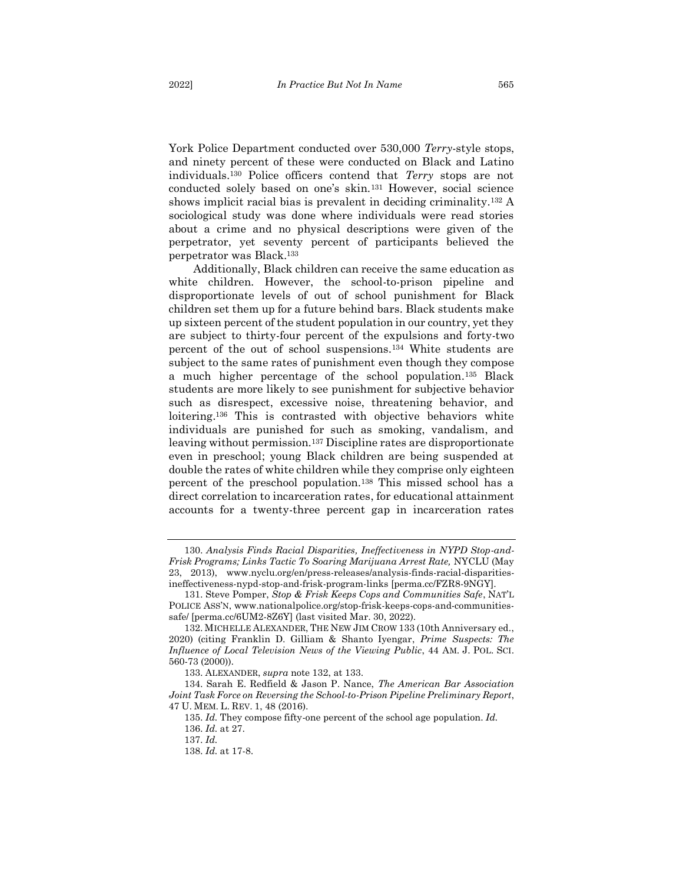York Police Department conducted over 530,000 *Terry*-style stops, and ninety percent of these were conducted on Black and Latino individuals.<sup>130</sup> Police officers contend that *Terry* stops are not conducted solely based on one's skin.<sup>131</sup> However, social science shows implicit racial bias is prevalent in deciding criminality.<sup>132</sup> A sociological study was done where individuals were read stories about a crime and no physical descriptions were given of the perpetrator, yet seventy percent of participants believed the perpetrator was Black.<sup>133</sup>

Additionally, Black children can receive the same education as white children. However, the school-to-prison pipeline and disproportionate levels of out of school punishment for Black children set them up for a future behind bars. Black students make up sixteen percent of the student population in our country, yet they are subject to thirty-four percent of the expulsions and forty-two percent of the out of school suspensions.<sup>134</sup> White students are subject to the same rates of punishment even though they compose a much higher percentage of the school population. <sup>135</sup> Black students are more likely to see punishment for subjective behavior such as disrespect, excessive noise, threatening behavior, and loitering.<sup>136</sup> This is contrasted with objective behaviors white individuals are punished for such as smoking, vandalism, and leaving without permission.<sup>137</sup> Discipline rates are disproportionate even in preschool; young Black children are being suspended at double the rates of white children while they comprise only eighteen percent of the preschool population.<sup>138</sup> This missed school has a direct correlation to incarceration rates, for educational attainment accounts for a twenty-three percent gap in incarceration rates

<sup>130.</sup> *Analysis Finds Racial Disparities, Ineffectiveness in NYPD Stop-and-Frisk Programs; Links Tactic To Soaring Marijuana Arrest Rate,* NYCLU (May 23, 2013), www.nyclu.org/en/press-releases/analysis-finds-racial-disparitiesineffectiveness-nypd-stop-and-frisk-program-links [perma.cc/FZR8-9NGY].

<sup>131.</sup> Steve Pomper, *Stop & Frisk Keeps Cops and Communities Safe*, NAT'L POLICE ASS'N, www.nationalpolice.org/stop-frisk-keeps-cops-and-communitiessafe/ [perma.cc/6UM2-8Z6Y] (last visited Mar. 30, 2022).

<sup>132.</sup> MICHELLE ALEXANDER, THE NEW JIM CROW 133 (10th Anniversary ed., 2020) (citing Franklin D. Gilliam & Shanto Iyengar, *Prime Suspects: The Influence of Local Television News of the Viewing Public*, 44 AM. J. POL. SCI. 560-73 (2000)).

<sup>133.</sup> ALEXANDER, *supra* note 132, at 133.

<sup>134.</sup> Sarah E. Redfield & Jason P. Nance, *The American Bar Association Joint Task Force on Reversing the School-to-Prison Pipeline Preliminary Report*, 47 U. MEM. L. REV. 1, 48 (2016).

<sup>135.</sup> *Id.* They compose fifty-one percent of the school age population. *Id.* 136. *Id.* at 27.

<sup>137.</sup> *Id.*

<sup>138.</sup> *Id.* at 17-8.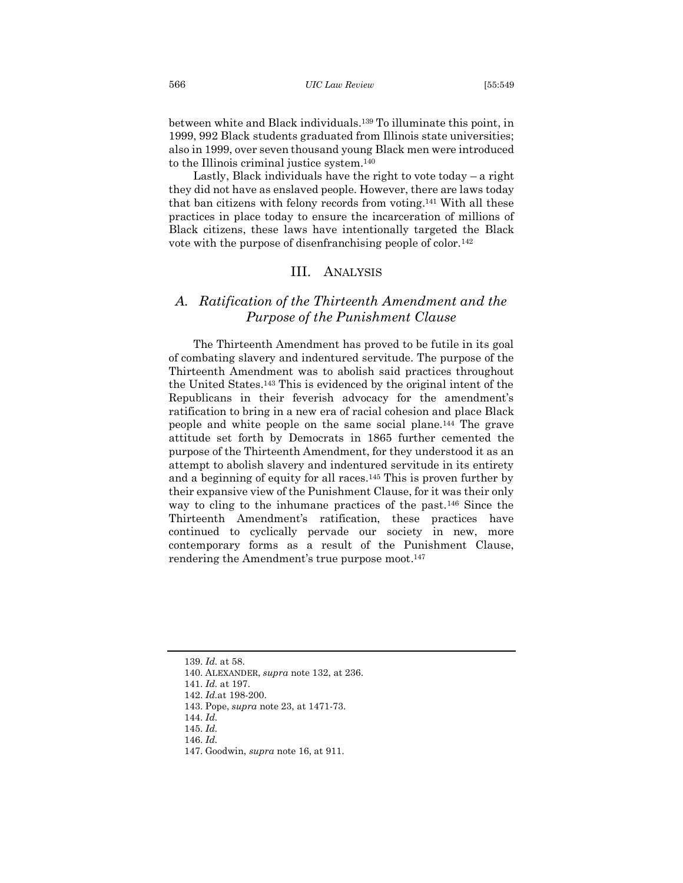between white and Black individuals.<sup>139</sup> To illuminate this point, in 1999, 992 Black students graduated from Illinois state universities; also in 1999, over seven thousand young Black men were introduced to the Illinois criminal justice system.<sup>140</sup>

Lastly, Black individuals have the right to vote today – a right they did not have as enslaved people. However, there are laws today that ban citizens with felony records from voting.<sup>141</sup> With all these practices in place today to ensure the incarceration of millions of Black citizens, these laws have intentionally targeted the Black vote with the purpose of disenfranchising people of color.<sup>142</sup>

## <span id="page-18-0"></span>III. ANALYSIS

# <span id="page-18-1"></span>*A. Ratification of the Thirteenth Amendment and the Purpose of the Punishment Clause*

The Thirteenth Amendment has proved to be futile in its goal of combating slavery and indentured servitude. The purpose of the Thirteenth Amendment was to abolish said practices throughout the United States.<sup>143</sup> This is evidenced by the original intent of the Republicans in their feverish advocacy for the amendment's ratification to bring in a new era of racial cohesion and place Black people and white people on the same social plane.<sup>144</sup> The grave attitude set forth by Democrats in 1865 further cemented the purpose of the Thirteenth Amendment, for they understood it as an attempt to abolish slavery and indentured servitude in its entirety and a beginning of equity for all races.<sup>145</sup> This is proven further by their expansive view of the Punishment Clause, for it was their only way to cling to the inhumane practices of the past.<sup>146</sup> Since the Thirteenth Amendment's ratification, these practices have continued to cyclically pervade our society in new, more contemporary forms as a result of the Punishment Clause, rendering the Amendment's true purpose moot. 147

<sup>139.</sup> *Id.* at 58.

<sup>140.</sup> ALEXANDER, *supra* note 132, at 236.

<sup>141.</sup> *Id.* at 197.

<sup>142.</sup> *Id.*at 198-200.

<sup>143.</sup> Pope, *supra* note 23, at 1471-73.

<sup>144.</sup> *Id.*

<sup>145.</sup> *Id.* 

<sup>147.</sup> Goodwin, *supra* note 16, at 911.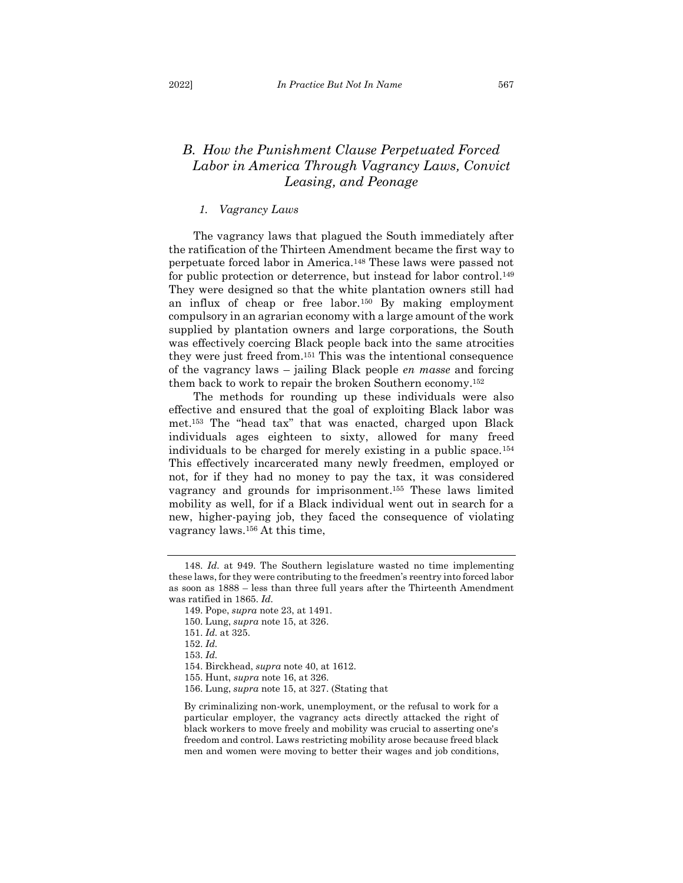# <span id="page-19-0"></span>*B. How the Punishment Clause Perpetuated Forced Labor in America Through Vagrancy Laws, Convict Leasing, and Peonage*

## *1. Vagrancy Laws*

<span id="page-19-1"></span>The vagrancy laws that plagued the South immediately after the ratification of the Thirteen Amendment became the first way to perpetuate forced labor in America.<sup>148</sup> These laws were passed not for public protection or deterrence, but instead for labor control.<sup>149</sup> They were designed so that the white plantation owners still had an influx of cheap or free labor.<sup>150</sup> By making employment compulsory in an agrarian economy with a large amount of the work supplied by plantation owners and large corporations, the South was effectively coercing Black people back into the same atrocities they were just freed from.<sup>151</sup> This was the intentional consequence of the vagrancy laws – jailing Black people *en masse* and forcing them back to work to repair the broken Southern economy.<sup>152</sup>

The methods for rounding up these individuals were also effective and ensured that the goal of exploiting Black labor was met.<sup>153</sup> The "head tax" that was enacted, charged upon Black individuals ages eighteen to sixty, allowed for many freed individuals to be charged for merely existing in a public space.<sup>154</sup> This effectively incarcerated many newly freedmen, employed or not, for if they had no money to pay the tax, it was considered vagrancy and grounds for imprisonment. <sup>155</sup> These laws limited mobility as well, for if a Black individual went out in search for a new, higher-paying job, they faced the consequence of violating vagrancy laws.<sup>156</sup> At this time,

<sup>148.</sup> *Id.* at 949. The Southern legislature wasted no time implementing these laws, for they were contributing to the freedmen's reentry into forced labor as soon as 1888 – less than three full years after the Thirteenth Amendment was ratified in 1865. *Id.*

<sup>149.</sup> Pope, *supra* note 23, at 1491.

<sup>150.</sup> Lung, *supra* note 15, at 326.

<sup>151.</sup> *Id.* at 325.

<sup>152.</sup> *Id.*

<sup>153.</sup> *Id.* 

<sup>154.</sup> Birckhead, *supra* note 40, at 1612.

<sup>155.</sup> Hunt, *supra* note 16, at 326.

<sup>156.</sup> Lung, *supra* note 15, at 327. (Stating that

By criminalizing non-work, unemployment, or the refusal to work for a particular employer, the vagrancy acts directly attacked the right of black workers to move freely and mobility was crucial to asserting one's freedom and control. Laws restricting mobility arose because freed black men and women were moving to better their wages and job conditions,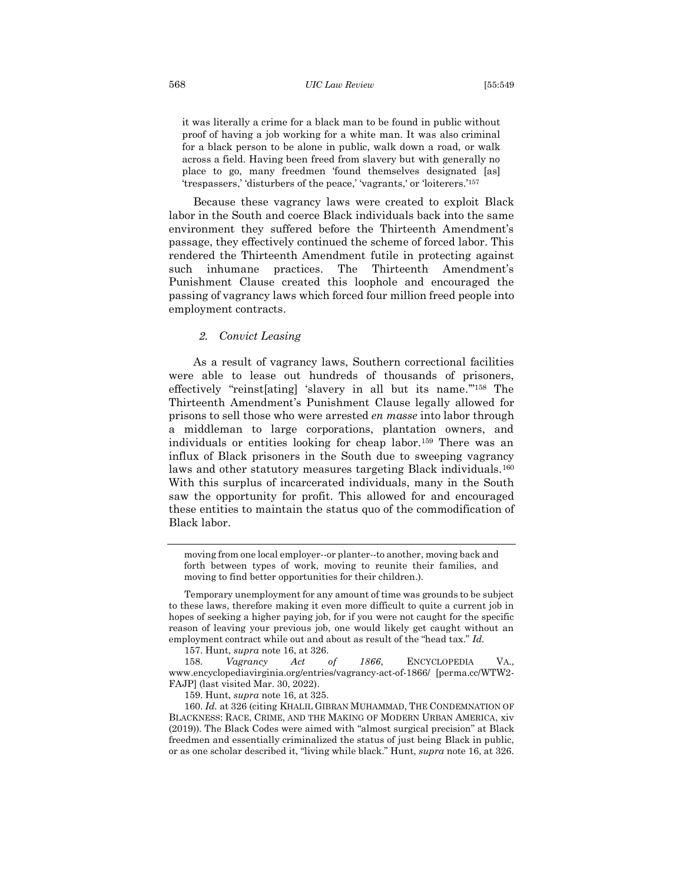it was literally a crime for a black man to be found in public without proof of having a job working for a white man. It was also criminal for a black person to be alone in public, walk down a road, or walk across a field. Having been freed from slavery but with generally no place to go, many freedmen 'found themselves designated [as] 'trespassers,' 'disturbers of the peace,' 'vagrants,' or 'loiterers.'<sup>157</sup>

Because these vagrancy laws were created to exploit Black labor in the South and coerce Black individuals back into the same environment they suffered before the Thirteenth Amendment's passage, they effectively continued the scheme of forced labor. This rendered the Thirteenth Amendment futile in protecting against such inhumane practices. The Thirteenth Amendment's Punishment Clause created this loophole and encouraged the passing of vagrancy laws which forced four million freed people into employment contracts.

## *2. Convict Leasing*

<span id="page-20-0"></span>As a result of vagrancy laws, Southern correctional facilities were able to lease out hundreds of thousands of prisoners, effectively "reinst[ating] 'slavery in all but its name.'" <sup>158</sup> The Thirteenth Amendment's Punishment Clause legally allowed for prisons to sell those who were arrested *en masse* into labor through a middleman to large corporations, plantation owners, and individuals or entities looking for cheap labor.<sup>159</sup> There was an influx of Black prisoners in the South due to sweeping vagrancy laws and other statutory measures targeting Black individuals.<sup>160</sup> With this surplus of incarcerated individuals, many in the South saw the opportunity for profit. This allowed for and encouraged these entities to maintain the status quo of the commodification of Black labor.

moving from one local employer--or planter--to another, moving back and forth between types of work, moving to reunite their families, and moving to find better opportunities for their children.).

157. Hunt, *supra* note 16, at 326.

158. *Vagrancy Act of 1866*, ENCYCLOPEDIA VA., www.encyclopediavirginia.org/entries/vagrancy-act-of-1866/ [perma.cc/WTW2- FAJP] (last visited Mar. 30, 2022).

159. Hunt, *supra* note 16, at 325.

160. *Id.* at 326 (citing KHALIL GIBRAN MUHAMMAD, THE CONDEMNATION OF BLACKNESS: RACE, CRIME, AND THE MAKING OF MODERN URBAN AMERICA, xiv (2019)). The Black Codes were aimed with "almost surgical precision" at Black freedmen and essentially criminalized the status of just being Black in public, or as one scholar described it, "living while black." Hunt, *supra* note 16, at 326.

Temporary unemployment for any amount of time was grounds to be subject to these laws, therefore making it even more difficult to quite a current job in hopes of seeking a higher paying job, for if you were not caught for the specific reason of leaving your previous job, one would likely get caught without an employment contract while out and about as result of the "head tax." *Id.*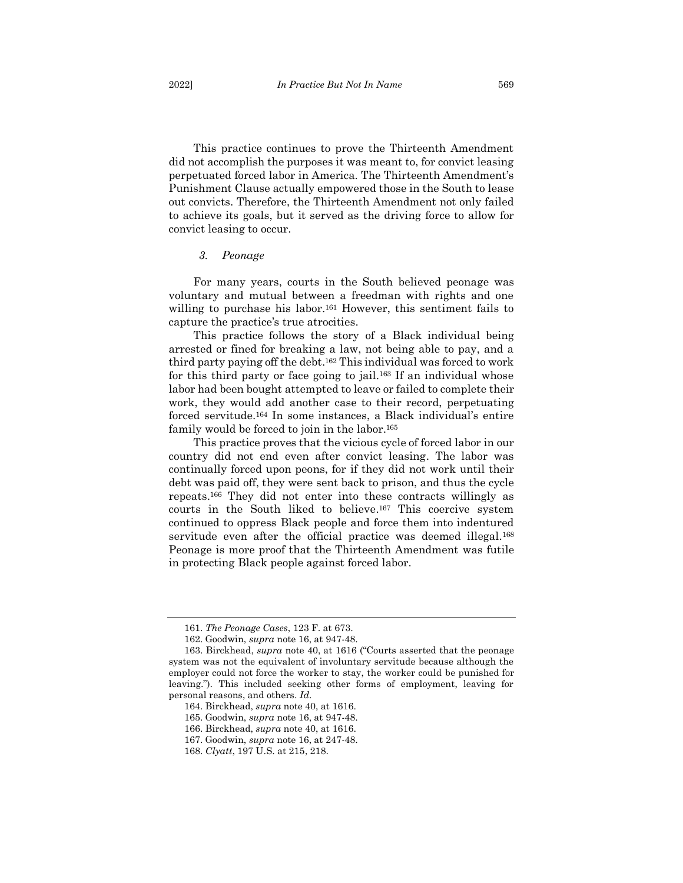This practice continues to prove the Thirteenth Amendment did not accomplish the purposes it was meant to, for convict leasing perpetuated forced labor in America. The Thirteenth Amendment's Punishment Clause actually empowered those in the South to lease out convicts. Therefore, the Thirteenth Amendment not only failed to achieve its goals, but it served as the driving force to allow for convict leasing to occur.

#### <span id="page-21-0"></span>*3. Peonage*

For many years, courts in the South believed peonage was voluntary and mutual between a freedman with rights and one willing to purchase his labor.<sup>161</sup> However, this sentiment fails to capture the practice's true atrocities.

This practice follows the story of a Black individual being arrested or fined for breaking a law, not being able to pay, and a third party paying off the debt.<sup>162</sup> This individual was forced to work for this third party or face going to jail.<sup>163</sup> If an individual whose labor had been bought attempted to leave or failed to complete their work, they would add another case to their record, perpetuating forced servitude.<sup>164</sup> In some instances, a Black individual's entire family would be forced to join in the labor.<sup>165</sup>

This practice proves that the vicious cycle of forced labor in our country did not end even after convict leasing. The labor was continually forced upon peons, for if they did not work until their debt was paid off, they were sent back to prison, and thus the cycle repeats.<sup>166</sup> They did not enter into these contracts willingly as courts in the South liked to believe. <sup>167</sup> This coercive system continued to oppress Black people and force them into indentured servitude even after the official practice was deemed illegal.<sup>168</sup> Peonage is more proof that the Thirteenth Amendment was futile in protecting Black people against forced labor.

<sup>161.</sup> *The Peonage Cases*, 123 F. at 673.

<sup>162.</sup> Goodwin, *supra* note 16, at 947-48.

<sup>163.</sup> Birckhead, *supra* note 40, at 1616 ("Courts asserted that the peonage system was not the equivalent of involuntary servitude because although the employer could not force the worker to stay, the worker could be punished for leaving."). This included seeking other forms of employment, leaving for personal reasons, and others. *Id.*

<sup>164.</sup> Birckhead, *supra* note 40, at 1616.

<sup>165.</sup> Goodwin, *supra* note 16, at 947-48.

<sup>166.</sup> Birckhead, *supra* note 40, at 1616.

<sup>167.</sup> Goodwin, *supra* note 16, at 247-48.

<sup>168.</sup> *Clyatt*, 197 U.S. at 215, 218.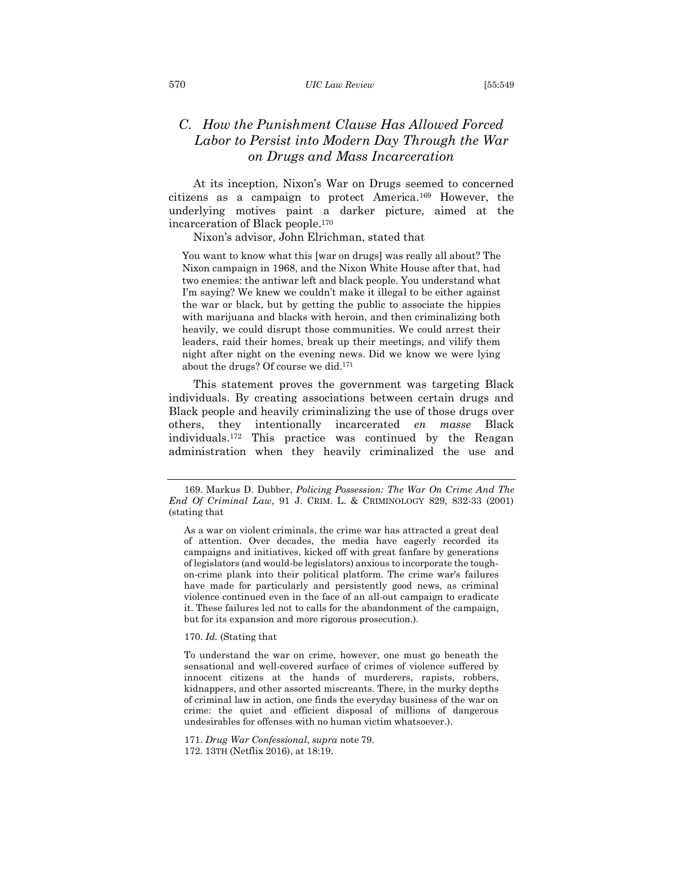#### 570 *UIC Law Review* [55:549

# <span id="page-22-0"></span>*C. How the Punishment Clause Has Allowed Forced Labor to Persist into Modern Day Through the War on Drugs and Mass Incarceration*

At its inception, Nixon's War on Drugs seemed to concerned citizens as a campaign to protect America.<sup>169</sup> However, the underlying motives paint a darker picture, aimed at the incarceration of Black people. 170

Nixon's advisor, John Elrichman, stated that

You want to know what this [war on drugs] was really all about? The Nixon campaign in 1968, and the Nixon White House after that, had two enemies: the antiwar left and black people. You understand what I'm saying? We knew we couldn't make it illegal to be either against the war or black, but by getting the public to associate the hippies with marijuana and blacks with heroin, and then criminalizing both heavily, we could disrupt those communities. We could arrest their leaders, raid their homes, break up their meetings, and vilify them night after night on the evening news. Did we know we were lying about the drugs? Of course we did.<sup>171</sup>

This statement proves the government was targeting Black individuals. By creating associations between certain drugs and Black people and heavily criminalizing the use of those drugs over others, they intentionally incarcerated *en masse* Black individuals.<sup>172</sup> This practice was continued by the Reagan administration when they heavily criminalized the use and

#### 170. *Id.* (Stating that

To understand the war on crime, however, one must go beneath the sensational and well-covered surface of crimes of violence suffered by innocent citizens at the hands of murderers, rapists, robbers, kidnappers, and other assorted miscreants. There, in the murky depths of criminal law in action, one finds the everyday business of the war on crime: the quiet and efficient disposal of millions of dangerous undesirables for offenses with no human victim whatsoever.).

171. *Drug War Confessional*, *supra* note 79.

172. 13TH (Netflix 2016), at 18:19.

<sup>169.</sup> Markus D. Dubber, *Policing Possession: The War On Crime And The End Of Criminal Law*, 91 J. CRIM. L. & CRIMINOLOGY 829, 832-33 (2001) (stating that

As a war on violent criminals, the crime war has attracted a great deal of attention. Over decades, the media have eagerly recorded its campaigns and initiatives, kicked off with great fanfare by generations of legislators (and would-be legislators) anxious to incorporate the toughon-crime plank into their political platform. The crime war's failures have made for particularly and persistently good news, as criminal violence continued even in the face of an all-out campaign to eradicate it. These failures led not to calls for the abandonment of the campaign, but for its expansion and more rigorous prosecution.).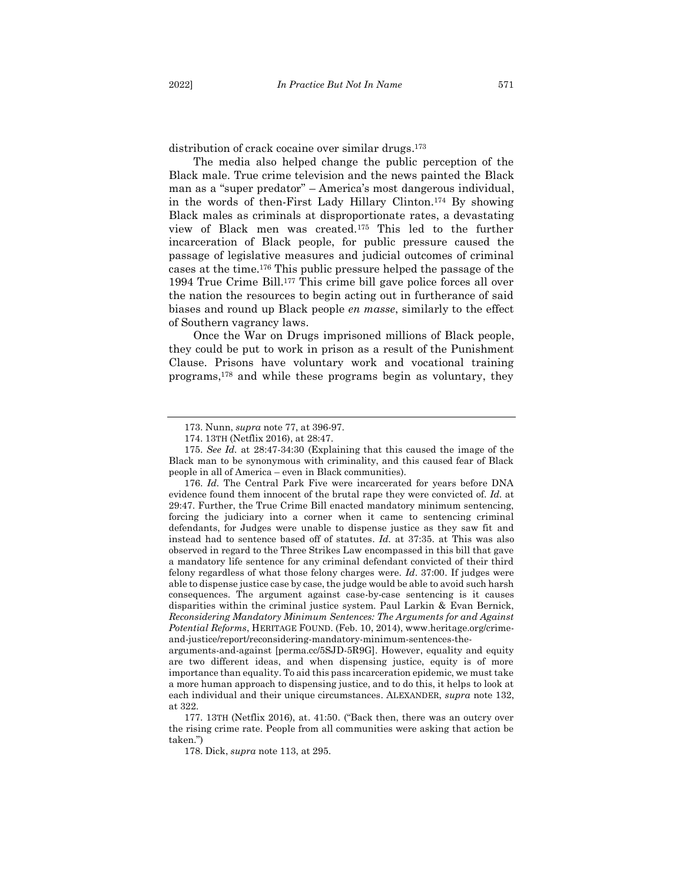distribution of crack cocaine over similar drugs. 173

The media also helped change the public perception of the Black male. True crime television and the news painted the Black man as a "super predator" – America's most dangerous individual, in the words of then-First Lady Hillary Clinton. <sup>174</sup> By showing Black males as criminals at disproportionate rates, a devastating view of Black men was created. <sup>175</sup> This led to the further incarceration of Black people, for public pressure caused the passage of legislative measures and judicial outcomes of criminal cases at the time.<sup>176</sup> This public pressure helped the passage of the 1994 True Crime Bill.<sup>177</sup> This crime bill gave police forces all over the nation the resources to begin acting out in furtherance of said biases and round up Black people *en masse*, similarly to the effect of Southern vagrancy laws.

Once the War on Drugs imprisoned millions of Black people, they could be put to work in prison as a result of the Punishment Clause. Prisons have voluntary work and vocational training programs, <sup>178</sup> and while these programs begin as voluntary, they

<sup>173.</sup> Nunn, *supra* note 77, at 396-97.

<sup>174.</sup> 13TH (Netflix 2016), at 28:47.

<sup>175.</sup> *See Id.* at 28:47-34:30 (Explaining that this caused the image of the Black man to be synonymous with criminality, and this caused fear of Black people in all of America – even in Black communities).

<sup>176.</sup> *Id.* The Central Park Five were incarcerated for years before DNA evidence found them innocent of the brutal rape they were convicted of. *Id.* at 29:47. Further, the True Crime Bill enacted mandatory minimum sentencing, forcing the judiciary into a corner when it came to sentencing criminal defendants, for Judges were unable to dispense justice as they saw fit and instead had to sentence based off of statutes. *Id.* at 37:35. at This was also observed in regard to the Three Strikes Law encompassed in this bill that gave a mandatory life sentence for any criminal defendant convicted of their third felony regardless of what those felony charges were. *Id*. 37:00. If judges were able to dispense justice case by case, the judge would be able to avoid such harsh consequences. The argument against case-by-case sentencing is it causes disparities within the criminal justice system. Paul Larkin & Evan Bernick, *Reconsidering Mandatory Minimum Sentences: The Arguments for and Against Potential Reforms*, HERITAGE FOUND. (Feb. 10, 2014), www.heritage.org/crimeand-justice/report/reconsidering-mandatory-minimum-sentences-the-

arguments-and-against [perma.cc/5SJD-5R9G]. However, equality and equity are two different ideas, and when dispensing justice, equity is of more importance than equality. To aid this pass incarceration epidemic, we must take a more human approach to dispensing justice, and to do this, it helps to look at each individual and their unique circumstances. ALEXANDER, *supra* note 132, at 322.

<sup>177.</sup> 13TH (Netflix 2016), at. 41:50. ("Back then, there was an outcry over the rising crime rate. People from all communities were asking that action be taken.")

<sup>178.</sup> Dick, *supra* note 113, at 295.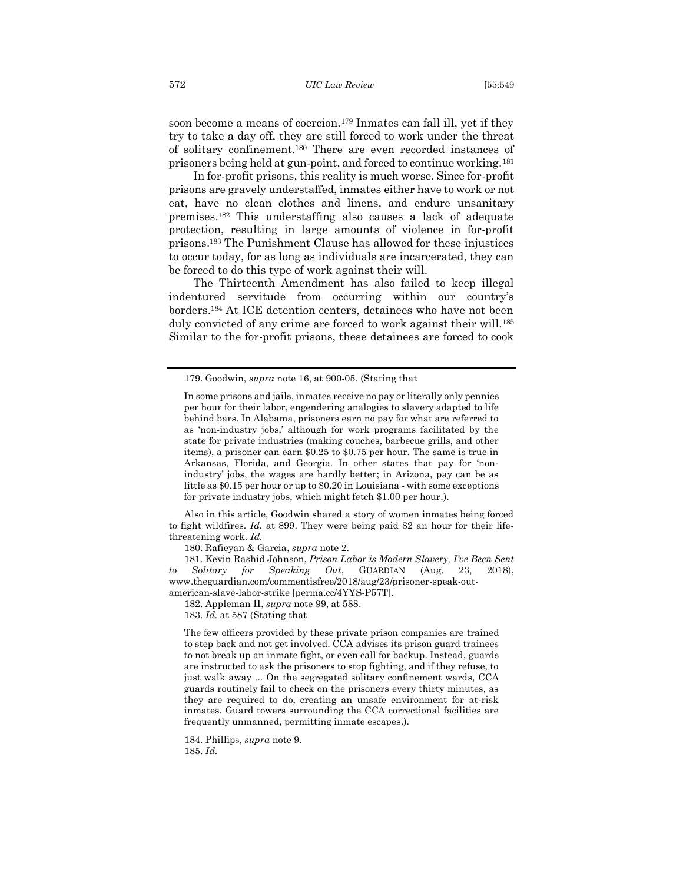soon become a means of coercion.<sup>179</sup> Inmates can fall ill, yet if they try to take a day off, they are still forced to work under the threat of solitary confinement. <sup>180</sup> There are even recorded instances of prisoners being held at gun-point, and forced to continue working.<sup>181</sup>

In for-profit prisons, this reality is much worse. Since for-profit prisons are gravely understaffed, inmates either have to work or not eat, have no clean clothes and linens, and endure unsanitary premises.<sup>182</sup> This understaffing also causes a lack of adequate protection, resulting in large amounts of violence in for-profit prisons. <sup>183</sup> The Punishment Clause has allowed for these injustices to occur today, for as long as individuals are incarcerated, they can be forced to do this type of work against their will.

The Thirteenth Amendment has also failed to keep illegal indentured servitude from occurring within our country's borders.<sup>184</sup> At ICE detention centers, detainees who have not been duly convicted of any crime are forced to work against their will.<sup>185</sup> Similar to the for-profit prisons, these detainees are forced to cook

Also in this article, Goodwin shared a story of women inmates being forced to fight wildfires. *Id.* at 899. They were being paid \$2 an hour for their lifethreatening work. *Id.*

180. Rafieyan & Garcia, *supra* note 2.

181. Kevin Rashid Johnson, *Prison Labor is Modern Slavery, I've Been Sent to Solitary for Speaking Out*, GUARDIAN (Aug. 23, 2018), www.theguardian.com/commentisfree/2018/aug/23/prisoner-speak-out-

american-slave-labor-strike [perma.cc/4YYS-P57T]. 182. Appleman II, *supra* note 99, at 588.

183. *Id.* at 587 (Stating that

The few officers provided by these private prison companies are trained to step back and not get involved. CCA advises its prison guard trainees to not break up an inmate fight, or even call for backup. Instead, guards are instructed to ask the prisoners to stop fighting, and if they refuse, to just walk away ... On the segregated solitary confinement wards, CCA guards routinely fail to check on the prisoners every thirty minutes, as they are required to do, creating an unsafe environment for at-risk inmates. Guard towers surrounding the CCA correctional facilities are frequently unmanned, permitting inmate escapes.).

184. Phillips, *supra* note 9. 185. *Id.*

<sup>179.</sup> Goodwin, *supra* note 16, at 900-05. (Stating that

In some prisons and jails, inmates receive no pay or literally only pennies per hour for their labor, engendering analogies to slavery adapted to life behind bars. In Alabama, prisoners earn no pay for what are referred to as 'non-industry jobs,' although for work programs facilitated by the state for private industries (making couches, barbecue grills, and other items), a prisoner can earn \$0.25 to \$0.75 per hour. The same is true in Arkansas, Florida, and Georgia. In other states that pay for 'nonindustry' jobs, the wages are hardly better; in Arizona, pay can be as little as \$0.15 per hour or up to \$0.20 in Louisiana - with some exceptions for private industry jobs, which might fetch \$1.00 per hour.).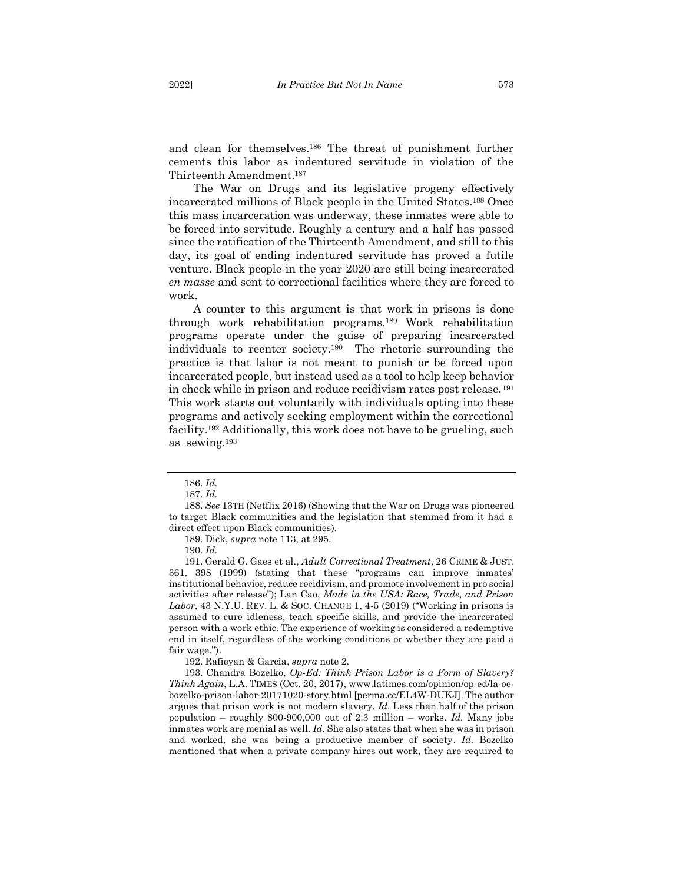and clean for themselves.<sup>186</sup> The threat of punishment further cements this labor as indentured servitude in violation of the Thirteenth Amendment. 187

The War on Drugs and its legislative progeny effectively incarcerated millions of Black people in the United States.<sup>188</sup> Once this mass incarceration was underway, these inmates were able to be forced into servitude. Roughly a century and a half has passed since the ratification of the Thirteenth Amendment, and still to this day, its goal of ending indentured servitude has proved a futile venture. Black people in the year 2020 are still being incarcerated *en masse* and sent to correctional facilities where they are forced to work.

A counter to this argument is that work in prisons is done through work rehabilitation programs.<sup>189</sup> Work rehabilitation programs operate under the guise of preparing incarcerated individuals to reenter society.190 The rhetoric surrounding the practice is that labor is not meant to punish or be forced upon incarcerated people, but instead used as a tool to help keep behavior in check while in prison and reduce recidivism rates post release.<sup>191</sup> This work starts out voluntarily with individuals opting into these programs and actively seeking employment within the correctional facility.<sup>192</sup> Additionally, this work does not have to be grueling, such as sewing.<sup>193</sup>

191. Gerald G. Gaes et al., *Adult Correctional Treatment*, 26 CRIME & JUST. 361, 398 (1999) (stating that these "programs can improve inmates' institutional behavior, reduce recidivism, and promote involvement in pro social activities after release"); Lan Cao, *Made in the USA: Race, Trade, and Prison Labor*, 43 N.Y.U. REV. L. & SOC. CHANGE 1, 4-5 (2019) ("Working in prisons is assumed to cure idleness, teach specific skills, and provide the incarcerated person with a work ethic. The experience of working is considered a redemptive end in itself, regardless of the working conditions or whether they are paid a fair wage.").

192. Rafieyan & Garcia, *supra* note 2.

193. Chandra Bozelko, *Op-Ed: Think Prison Labor is a Form of Slavery? Think Again*, L.A. TIMES (Oct. 20, 2017), www.latimes.com/opinion/op-ed/la-oebozelko-prison-labor-20171020-story.html [perma.cc/EL4W-DUKJ]. The author argues that prison work is not modern slavery. *Id.* Less than half of the prison population – roughly 800-900,000 out of 2.3 million – works. *Id.* Many jobs inmates work are menial as well. *Id.* She also states that when she was in prison and worked, she was being a productive member of society. *Id.* Bozelko mentioned that when a private company hires out work, they are required to

<sup>186.</sup> *Id.*

<sup>187.</sup> *Id.*

<sup>188.</sup> *See* 13TH (Netflix 2016) (Showing that the War on Drugs was pioneered to target Black communities and the legislation that stemmed from it had a direct effect upon Black communities).

<sup>189.</sup> Dick, *supra* note 113, at 295.

<sup>190.</sup> *Id.*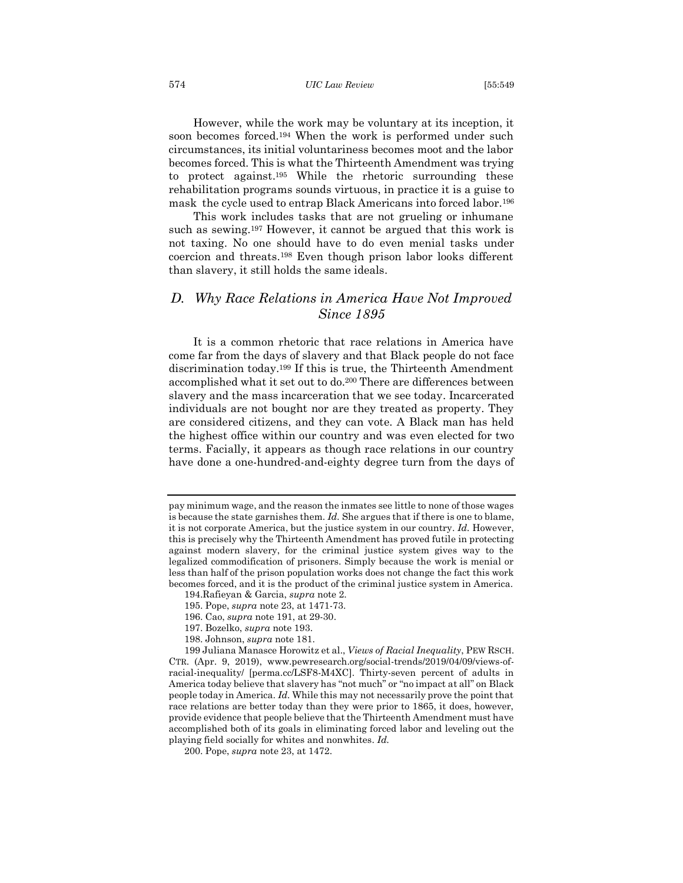#### 574 *UIC Law Review* [55:549

However, while the work may be voluntary at its inception, it soon becomes forced.<sup>194</sup> When the work is performed under such circumstances, its initial voluntariness becomes moot and the labor becomes forced. This is what the Thirteenth Amendment was trying to protect against. <sup>195</sup> While the rhetoric surrounding these rehabilitation programs sounds virtuous, in practice it is a guise to mask the cycle used to entrap Black Americans into forced labor.<sup>196</sup>

This work includes tasks that are not grueling or inhumane such as sewing.<sup>197</sup> However, it cannot be argued that this work is not taxing. No one should have to do even menial tasks under coercion and threats.<sup>198</sup> Even though prison labor looks different than slavery, it still holds the same ideals.

# <span id="page-26-0"></span>*D. Why Race Relations in America Have Not Improved Since 1895*

It is a common rhetoric that race relations in America have come far from the days of slavery and that Black people do not face discrimination today.<sup>199</sup> If this is true, the Thirteenth Amendment accomplished what it set out to do.<sup>200</sup> There are differences between slavery and the mass incarceration that we see today. Incarcerated individuals are not bought nor are they treated as property. They are considered citizens, and they can vote. A Black man has held the highest office within our country and was even elected for two terms. Facially, it appears as though race relations in our country have done a one-hundred-and-eighty degree turn from the days of

pay minimum wage, and the reason the inmates see little to none of those wages is because the state garnishes them. *Id.* She argues that if there is one to blame, it is not corporate America, but the justice system in our country. *Id.* However, this is precisely why the Thirteenth Amendment has proved futile in protecting against modern slavery, for the criminal justice system gives way to the legalized commodification of prisoners. Simply because the work is menial or less than half of the prison population works does not change the fact this work becomes forced, and it is the product of the criminal justice system in America.

<sup>194.</sup>Rafieyan & Garcia, *supra* note 2.

<sup>195.</sup> Pope, *supra* note 23, at 1471-73.

<sup>196.</sup> Cao, *supra* note 191, at 29-30.

<sup>197.</sup> Bozelko, *supra* note 193.

<sup>198.</sup> Johnson, *supra* note 181.

<sup>199</sup> Juliana Manasce Horowitz et al., *Views of Racial Inequality*, PEW RSCH. CTR. (Apr. 9, 2019), www.pewresearch.org/social-trends/2019/04/09/views-ofracial-inequality/ [perma.cc/LSF8-M4XC]. Thirty-seven percent of adults in America today believe that slavery has "not much" or "no impact at all" on Black people today in America. *Id.* While this may not necessarily prove the point that race relations are better today than they were prior to 1865, it does, however, provide evidence that people believe that the Thirteenth Amendment must have accomplished both of its goals in eliminating forced labor and leveling out the playing field socially for whites and nonwhites. *Id.*

<sup>200.</sup> Pope, *supra* note 23, at 1472.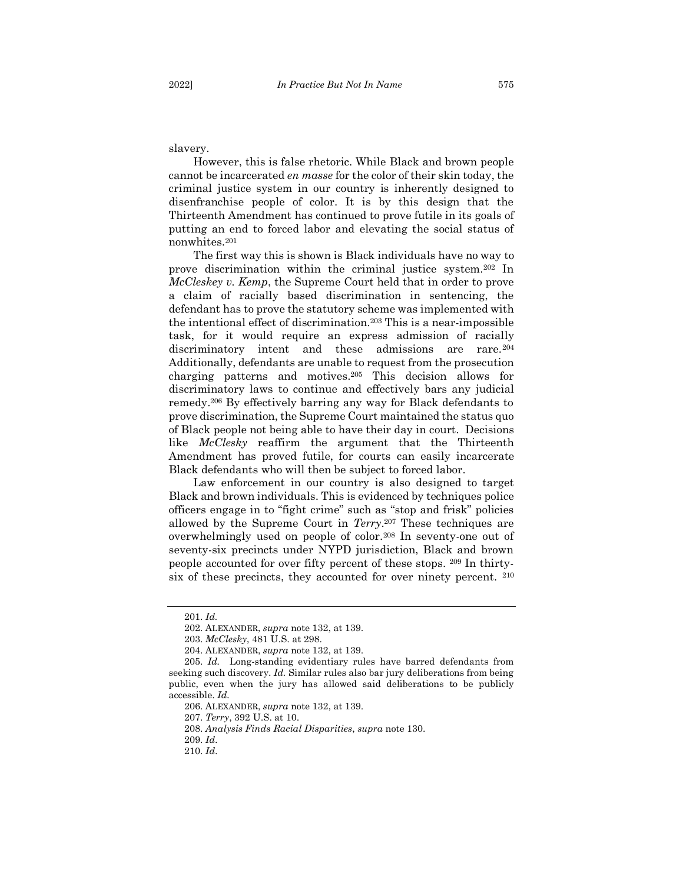slavery.

However, this is false rhetoric. While Black and brown people cannot be incarcerated *en masse* for the color of their skin today, the criminal justice system in our country is inherently designed to disenfranchise people of color. It is by this design that the Thirteenth Amendment has continued to prove futile in its goals of putting an end to forced labor and elevating the social status of nonwhites.<sup>201</sup>

The first way this is shown is Black individuals have no way to prove discrimination within the criminal justice system.<sup>202</sup> In *McCleskey v. Kemp*, the Supreme Court held that in order to prove a claim of racially based discrimination in sentencing, the defendant has to prove the statutory scheme was implemented with the intentional effect of discrimination.<sup>203</sup> This is a near-impossible task, for it would require an express admission of racially discriminatory intent and these admissions are rare.<sup>204</sup> Additionally, defendants are unable to request from the prosecution charging patterns and motives.<sup>205</sup> This decision allows for discriminatory laws to continue and effectively bars any judicial remedy.<sup>206</sup> By effectively barring any way for Black defendants to prove discrimination, the Supreme Court maintained the status quo of Black people not being able to have their day in court. Decisions like *McClesky* reaffirm the argument that the Thirteenth Amendment has proved futile, for courts can easily incarcerate Black defendants who will then be subject to forced labor.

Law enforcement in our country is also designed to target Black and brown individuals. This is evidenced by techniques police officers engage in to "fight crime" such as "stop and frisk" policies allowed by the Supreme Court in *Terry*. <sup>207</sup> These techniques are overwhelmingly used on people of color.<sup>208</sup> In seventy-one out of seventy-six precincts under NYPD jurisdiction, Black and brown people accounted for over fifty percent of these stops. <sup>209</sup> In thirtysix of these precincts, they accounted for over ninety percent. <sup>210</sup>

<sup>201.</sup> *Id.*

<sup>202.</sup> ALEXANDER, *supra* note 132, at 139.

<sup>203.</sup> *McClesky*, 481 U.S. at 298.

<sup>204.</sup> ALEXANDER, *supra* note 132, at 139.

<sup>205.</sup> *Id.* Long-standing evidentiary rules have barred defendants from seeking such discovery. *Id.* Similar rules also bar jury deliberations from being public, even when the jury has allowed said deliberations to be publicly accessible. *Id.*

<sup>206.</sup> ALEXANDER, *supra* note 132, at 139.

<sup>207.</sup> *Terry*, 392 U.S. at 10.

<sup>208.</sup> *Analysis Finds Racial Disparities*, *supra* note 130.

<sup>209.</sup> *Id*.

<sup>210.</sup> *Id*.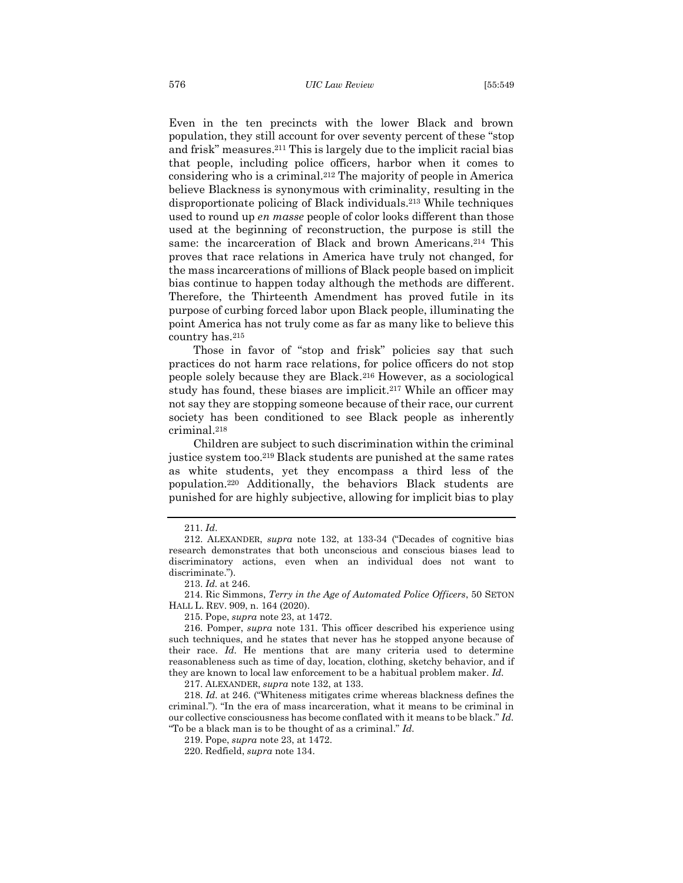Even in the ten precincts with the lower Black and brown population, they still account for over seventy percent of these "stop and frisk" measures.<sup>211</sup> This is largely due to the implicit racial bias that people, including police officers, harbor when it comes to considering who is a criminal.<sup>212</sup> The majority of people in America believe Blackness is synonymous with criminality, resulting in the disproportionate policing of Black individuals.<sup>213</sup> While techniques used to round up *en masse* people of color looks different than those used at the beginning of reconstruction, the purpose is still the same: the incarceration of Black and brown Americans. <sup>214</sup> This proves that race relations in America have truly not changed, for the mass incarcerations of millions of Black people based on implicit bias continue to happen today although the methods are different. Therefore, the Thirteenth Amendment has proved futile in its purpose of curbing forced labor upon Black people, illuminating the point America has not truly come as far as many like to believe this country has.<sup>215</sup>

Those in favor of "stop and frisk" policies say that such practices do not harm race relations, for police officers do not stop people solely because they are Black.<sup>216</sup> However, as a sociological study has found, these biases are implicit.<sup>217</sup> While an officer may not say they are stopping someone because of their race, our current society has been conditioned to see Black people as inherently criminal.<sup>218</sup>

Children are subject to such discrimination within the criminal justice system too.<sup>219</sup> Black students are punished at the same rates as white students, yet they encompass a third less of the population. <sup>220</sup> Additionally, the behaviors Black students are punished for are highly subjective, allowing for implicit bias to play

213. *Id.* at 246.

217. ALEXANDER, *supra* note 132, at 133.

218. *Id.* at 246. ("Whiteness mitigates crime whereas blackness defines the criminal."). "In the era of mass incarceration, what it means to be criminal in our collective consciousness has become conflated with it means to be black." *Id.*  "To be a black man is to be thought of as a criminal." *Id.*

219. Pope, *supra* note 23, at 1472.

220. Redfield, *supra* note 134.

<sup>211.</sup> *Id*.

<sup>212.</sup> ALEXANDER, *supra* note 132, at 133-34 ("Decades of cognitive bias research demonstrates that both unconscious and conscious biases lead to discriminatory actions, even when an individual does not want to discriminate.").

<sup>214.</sup> Ric Simmons, *Terry in the Age of Automated Police Officers*, 50 SETON HALL L. REV. 909, n. 164 (2020).

<sup>215.</sup> Pope, *supra* note 23, at 1472.

<sup>216.</sup> Pomper, *supra* note 131. This officer described his experience using such techniques, and he states that never has he stopped anyone because of their race. *Id.* He mentions that are many criteria used to determine reasonableness such as time of day, location, clothing, sketchy behavior, and if they are known to local law enforcement to be a habitual problem maker. *Id.*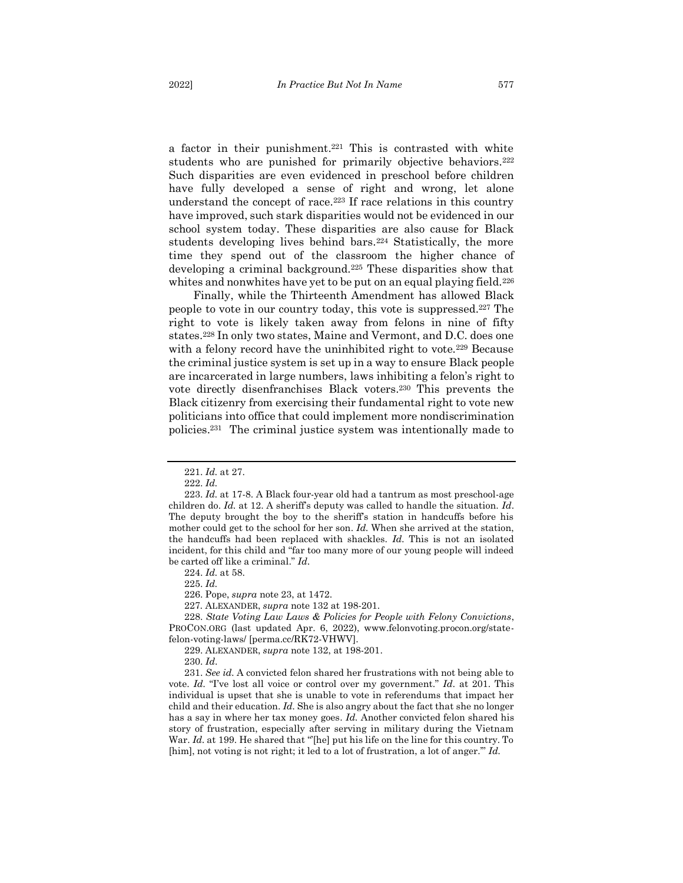students who are punished for primarily objective behaviors.<sup>222</sup> Such disparities are even evidenced in preschool before children have fully developed a sense of right and wrong, let alone understand the concept of race.<sup>223</sup> If race relations in this country have improved, such stark disparities would not be evidenced in our school system today. These disparities are also cause for Black students developing lives behind bars.<sup>224</sup> Statistically, the more time they spend out of the classroom the higher chance of developing a criminal background.<sup>225</sup> These disparities show that whites and nonwhites have yet to be put on an equal playing field.<sup>226</sup>

Finally, while the Thirteenth Amendment has allowed Black people to vote in our country today, this vote is suppressed.<sup>227</sup> The right to vote is likely taken away from felons in nine of fifty states.<sup>228</sup> In only two states, Maine and Vermont, and D.C. does one with a felony record have the uninhibited right to vote.<sup>229</sup> Because the criminal justice system is set up in a way to ensure Black people are incarcerated in large numbers, laws inhibiting a felon's right to vote directly disenfranchises Black voters.<sup>230</sup> This prevents the Black citizenry from exercising their fundamental right to vote new politicians into office that could implement more nondiscrimination policies.<sup>231</sup> The criminal justice system was intentionally made to

224. *Id.* at 58.

225. *Id.*

226. Pope, *supra* note 23, at 1472.

227*.* ALEXANDER, *supra* note 132 at 198-201.

228. *State Voting Law Laws & Policies for People with Felony Convictions*, PROCON.ORG (last updated Apr. 6, 2022), www.felonvoting.procon.org/statefelon-voting-laws/ [perma.cc/RK72-VHWV].

229. ALEXANDER, *supra* note 132, at 198-201.

230. *Id*.

231. *See id.* A convicted felon shared her frustrations with not being able to vote. *Id.* "I've lost all voice or control over my government." *Id.* at 201. This individual is upset that she is unable to vote in referendums that impact her child and their education. *Id.* She is also angry about the fact that she no longer has a say in where her tax money goes. *Id.* Another convicted felon shared his story of frustration, especially after serving in military during the Vietnam War. *Id.* at 199. He shared that "[he] put his life on the line for this country. To [him], not voting is not right; it led to a lot of frustration, a lot of anger." *Id.* 

<sup>221.</sup> *Id.* at 27.

<sup>222.</sup> *Id.*

<sup>223.</sup> *Id.* at 17-8. A Black four-year old had a tantrum as most preschool-age children do. *Id.* at 12. A sheriff's deputy was called to handle the situation. *Id*. The deputy brought the boy to the sheriff's station in handcuffs before his mother could get to the school for her son. *Id.* When she arrived at the station, the handcuffs had been replaced with shackles. *Id.* This is not an isolated incident, for this child and "far too many more of our young people will indeed be carted off like a criminal." *Id.*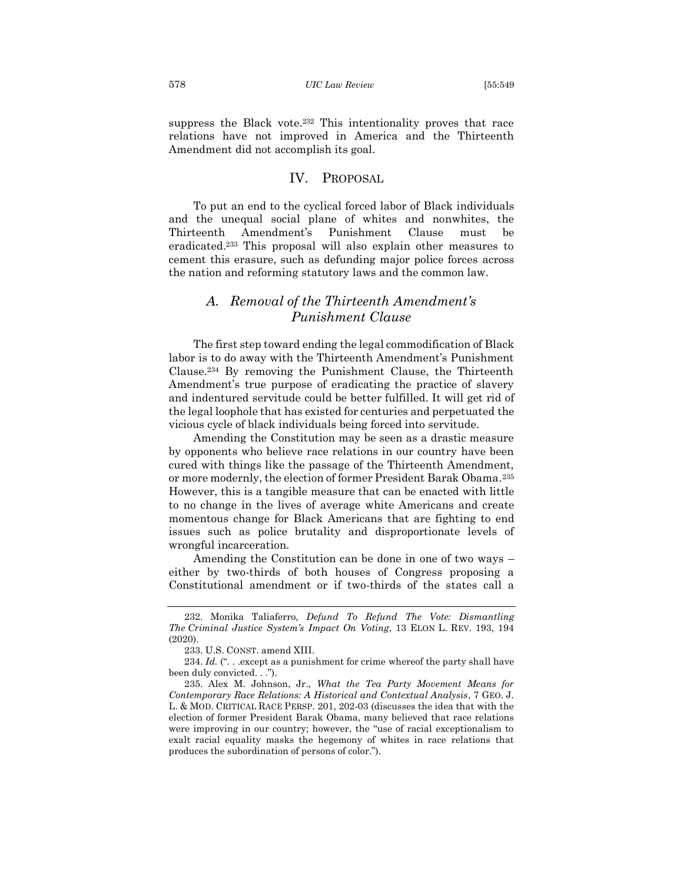suppress the Black vote.<sup>232</sup> This intentionality proves that race relations have not improved in America and the Thirteenth Amendment did not accomplish its goal.

## <span id="page-30-0"></span>IV. PROPOSAL

To put an end to the cyclical forced labor of Black individuals and the unequal social plane of whites and nonwhites, the Thirteenth Amendment's Punishment Clause must be eradicated.<sup>233</sup> This proposal will also explain other measures to cement this erasure, such as defunding major police forces across the nation and reforming statutory laws and the common law.

# <span id="page-30-1"></span>*A. Removal of the Thirteenth Amendment's Punishment Clause*

The first step toward ending the legal commodification of Black labor is to do away with the Thirteenth Amendment's Punishment Clause.<sup>234</sup> By removing the Punishment Clause, the Thirteenth Amendment's true purpose of eradicating the practice of slavery and indentured servitude could be better fulfilled. It will get rid of the legal loophole that has existed for centuries and perpetuated the vicious cycle of black individuals being forced into servitude.

Amending the Constitution may be seen as a drastic measure by opponents who believe race relations in our country have been cured with things like the passage of the Thirteenth Amendment, or more modernly, the election of former President Barak Obama. 235 However, this is a tangible measure that can be enacted with little to no change in the lives of average white Americans and create momentous change for Black Americans that are fighting to end issues such as police brutality and disproportionate levels of wrongful incarceration.

Amending the Constitution can be done in one of two ways – either by two-thirds of both houses of Congress proposing a Constitutional amendment or if two-thirds of the states call a

<sup>232.</sup> Monika Taliaferro*, Defund To Refund The Vote: Dismantling The Criminal Justice System's Impact On Voting*, 13 ELON L. REV. 193, 194 (2020).

<sup>233.</sup> U.S. CONST. amend XIII.

<sup>234.</sup> *Id.* ("... except as a punishment for crime whereof the party shall have been duly convicted. . .").

<sup>235.</sup> Alex M. Johnson, Jr., *What the Tea Party Movement Means for Contemporary Race Relations: A Historical and Contextual Analysis*, 7 GEO. J. L. & MOD. CRITICAL RACE PERSP. 201, 202-03 (discusses the idea that with the election of former President Barak Obama, many believed that race relations were improving in our country; however, the "use of racial exceptionalism to exalt racial equality masks the hegemony of whites in race relations that produces the subordination of persons of color.").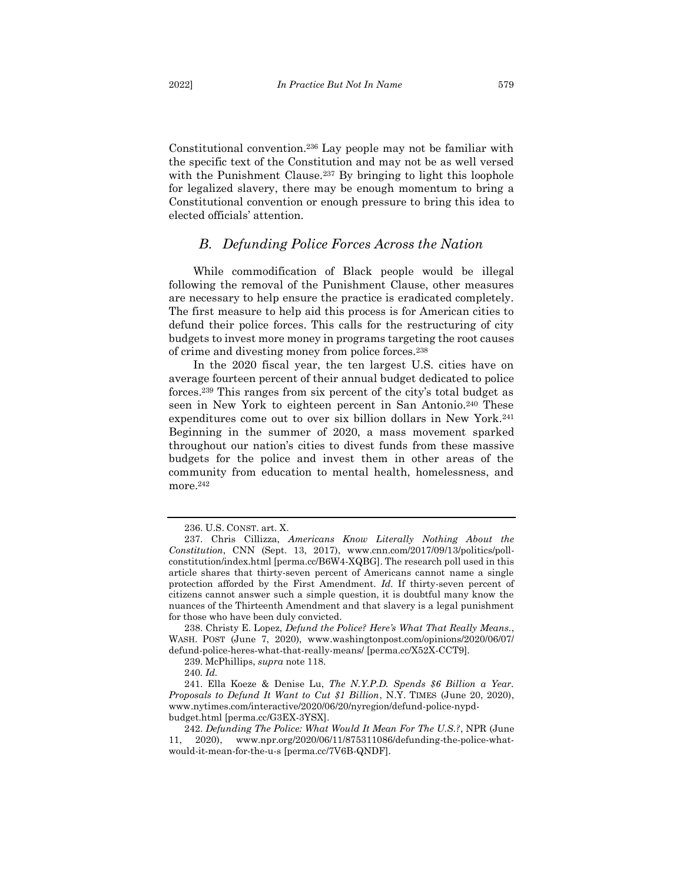Constitutional convention.<sup>236</sup> Lay people may not be familiar with the specific text of the Constitution and may not be as well versed with the Punishment Clause.<sup>237</sup> By bringing to light this loophole for legalized slavery, there may be enough momentum to bring a Constitutional convention or enough pressure to bring this idea to elected officials' attention.

## <span id="page-31-0"></span>*B. Defunding Police Forces Across the Nation*

While commodification of Black people would be illegal following the removal of the Punishment Clause, other measures are necessary to help ensure the practice is eradicated completely. The first measure to help aid this process is for American cities to defund their police forces. This calls for the restructuring of city budgets to invest more money in programs targeting the root causes of crime and divesting money from police forces.<sup>238</sup>

In the 2020 fiscal year, the ten largest U.S. cities have on average fourteen percent of their annual budget dedicated to police forces.<sup>239</sup> This ranges from six percent of the city's total budget as seen in New York to eighteen percent in San Antonio.<sup>240</sup> These expenditures come out to over six billion dollars in New York.<sup>241</sup> Beginning in the summer of 2020, a mass movement sparked throughout our nation's cities to divest funds from these massive budgets for the police and invest them in other areas of the community from education to mental health, homelessness, and more.<sup>242</sup>

238. Christy E. Lopez, *Defund the Police? Here's What That Really Means.*, WASH. POST (June 7, 2020), www.washingtonpost.com/opinions/2020/06/07/ defund-police-heres-what-that-really-means/ [perma.cc/X52X-CCT9].

239. McPhillips, *supra* note 118.

240*. Id.*

241. Ella Koeze & Denise Lu, *The N.Y.P.D. Spends \$6 Billion a Year. Proposals to Defund It Want to Cut \$1 Billion*, N.Y. TIMES (June 20, 2020), www.nytimes.com/interactive/2020/06/20/nyregion/defund-police-nypdbudget.html [perma.cc/G3EX-3YSX].

242. *Defunding The Police: What Would It Mean For The U.S.?*, NPR (June 11, 2020), www.npr.org/2020/06/11/875311086/defunding-the-police-whatwould-it-mean-for-the-u-s [perma.cc/7V6B-QNDF].

<sup>236.</sup> U.S. CONST. art. X.

<sup>237.</sup> Chris Cillizza, *Americans Know Literally Nothing About the Constitution*, CNN (Sept. 13, 2017), www.cnn.com/2017/09/13/politics/pollconstitution/index.html [perma.cc/B6W4-XQBG]. The research poll used in this article shares that thirty-seven percent of Americans cannot name a single protection afforded by the First Amendment. *Id.* If thirty-seven percent of citizens cannot answer such a simple question, it is doubtful many know the nuances of the Thirteenth Amendment and that slavery is a legal punishment for those who have been duly convicted.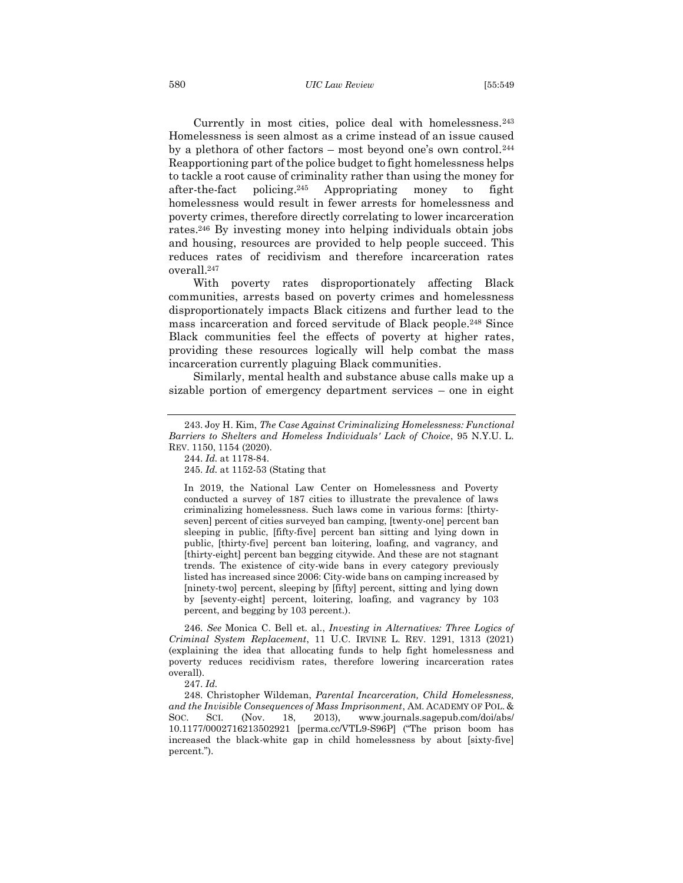Currently in most cities, police deal with homelessness.<sup>243</sup> Homelessness is seen almost as a crime instead of an issue caused by a plethora of other factors – most beyond one's own control.<sup>244</sup> Reapportioning part of the police budget to fight homelessness helps to tackle a root cause of criminality rather than using the money for after-the-fact policing. Appropriating money to fight homelessness would result in fewer arrests for homelessness and poverty crimes, therefore directly correlating to lower incarceration rates.<sup>246</sup> By investing money into helping individuals obtain jobs and housing, resources are provided to help people succeed. This reduces rates of recidivism and therefore incarceration rates overall. 247

With poverty rates disproportionately affecting Black communities, arrests based on poverty crimes and homelessness disproportionately impacts Black citizens and further lead to the mass incarceration and forced servitude of Black people. <sup>248</sup> Since Black communities feel the effects of poverty at higher rates, providing these resources logically will help combat the mass incarceration currently plaguing Black communities.

Similarly, mental health and substance abuse calls make up a sizable portion of emergency department services – one in eight

245. *Id.* at 1152-53 (Stating that

In 2019, the National Law Center on Homelessness and Poverty conducted a survey of 187 cities to illustrate the prevalence of laws criminalizing homelessness. Such laws come in various forms: [thirtyseven] percent of cities surveyed ban camping, [twenty-one] percent ban sleeping in public, [fifty-five] percent ban sitting and lying down in public, [thirty-five] percent ban loitering, loafing, and vagrancy, and [thirty-eight] percent ban begging citywide. And these are not stagnant trends. The existence of city-wide bans in every category previously listed has increased since 2006: City-wide bans on camping increased by [ninety-two] percent, sleeping by [fifty] percent, sitting and lying down by [seventy-eight] percent, loitering, loafing, and vagrancy by 103 percent, and begging by 103 percent.).

246. *See* Monica C. Bell et. al., *Investing in Alternatives: Three Logics of Criminal System Replacement*, 11 U.C. IRVINE L. REV. 1291, 1313 (2021) (explaining the idea that allocating funds to help fight homelessness and poverty reduces recidivism rates, therefore lowering incarceration rates overall).

247. *Id.*

248. Christopher Wildeman, *Parental Incarceration, Child Homelessness, and the Invisible Consequences of Mass Imprisonment*, AM. ACADEMY OF POL. & SOC. SCI. (Nov. 18, 2013), www.journals.sagepub.com/doi/abs/ 10.1177/0002716213502921 [perma.cc/VTL9-S96P] ("The prison boom has increased the black-white gap in child homelessness by about [sixty-five] percent.").

<sup>243.</sup> Joy H. Kim, *The Case Against Criminalizing Homelessness: Functional Barriers to Shelters and Homeless Individuals' Lack of Choice*, 95 N.Y.U. L. REV. 1150, 1154 (2020).

<sup>244.</sup> *Id.* at 1178-84.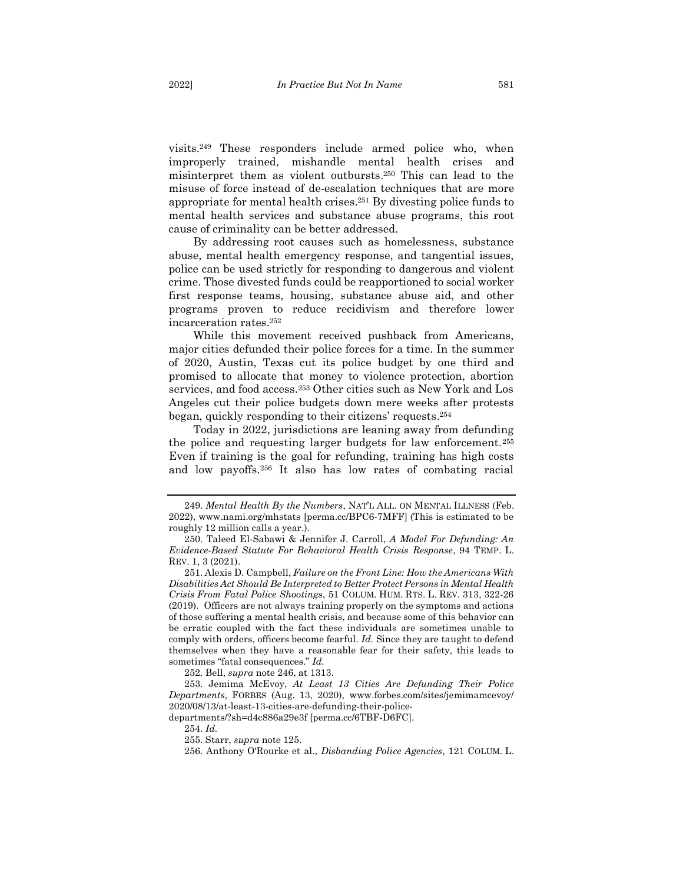visits.<sup>249</sup> These responders include armed police who, when improperly trained, mishandle mental health crises and misinterpret them as violent outbursts. <sup>250</sup> This can lead to the misuse of force instead of de-escalation techniques that are more appropriate for mental health crises. <sup>251</sup> By divesting police funds to mental health services and substance abuse programs, this root cause of criminality can be better addressed.

By addressing root causes such as homelessness, substance abuse, mental health emergency response, and tangential issues, police can be used strictly for responding to dangerous and violent crime. Those divested funds could be reapportioned to social worker first response teams, housing, substance abuse aid, and other programs proven to reduce recidivism and therefore lower incarceration rates.<sup>252</sup>

While this movement received pushback from Americans, major cities defunded their police forces for a time. In the summer of 2020, Austin, Texas cut its police budget by one third and promised to allocate that money to violence protection, abortion services, and food access.<sup>253</sup> Other cities such as New York and Los Angeles cut their police budgets down mere weeks after protests began, quickly responding to their citizens' requests. 254

Today in 2022, jurisdictions are leaning away from defunding the police and requesting larger budgets for law enforcement.<sup>255</sup> Even if training is the goal for refunding, training has high costs and low payoffs.<sup>256</sup> It also has low rates of combating racial

252. Bell, *supra* note 246, at 1313.

<sup>249.</sup> *Mental Health By the Numbers*, NAT'L ALL. ON MENTAL ILLNESS (Feb. 2022), www.nami.org/mhstats [perma.cc/BPC6-7MFF] (This is estimated to be roughly 12 million calls a year.).

<sup>250.</sup> Taleed El-Sabawi & Jennifer J. Carroll, *A Model For Defunding: An Evidence-Based Statute For Behavioral Health Crisis Response*, 94 TEMP. L. REV. 1, 3 (2021).

<sup>251.</sup> Alexis D. Campbell, *Failure on the Front Line: How the Americans With Disabilities Act Should Be Interpreted to Better Protect Persons in Mental Health Crisis From Fatal Police Shootings*, 51 COLUM. HUM. RTS. L. REV. 313, 322-26 (2019). Officers are not always training properly on the symptoms and actions of those suffering a mental health crisis, and because some of this behavior can be erratic coupled with the fact these individuals are sometimes unable to comply with orders, officers become fearful. *Id.* Since they are taught to defend themselves when they have a reasonable fear for their safety, this leads to sometimes "fatal consequences." *Id.*

<sup>253.</sup> Jemima McEvoy, *At Least 13 Cities Are Defunding Their Police Departments*, FORBES (Aug. 13, 2020), www.forbes.com/sites/jemimamcevoy/ 2020/08/13/at-least-13-cities-are-defunding-their-police-

departments/?sh=d4c886a29e3f [perma.cc/6TBF-D6FC].

<sup>254.</sup> *Id.*

<sup>255.</sup> Starr, *supra* note 125.

<sup>256.</sup> Anthony O'Rourke et al., *Disbanding Police Agencies*, 121 COLUM. L.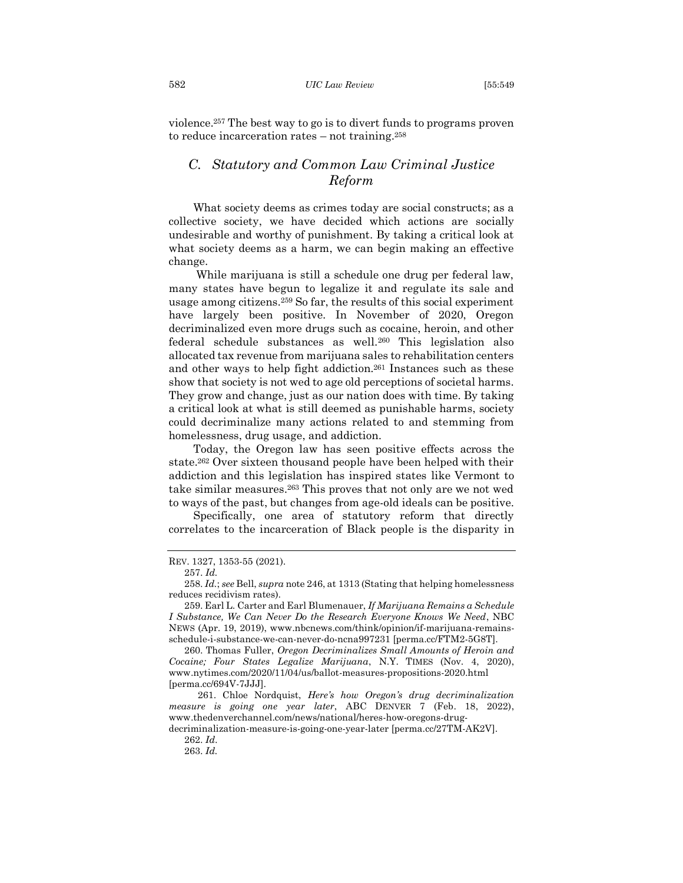violence.<sup>257</sup> The best way to go is to divert funds to programs proven to reduce incarceration rates – not training.<sup>258</sup>

# <span id="page-34-0"></span>*C. Statutory and Common Law Criminal Justice Reform*

What society deems as crimes today are social constructs; as a collective society, we have decided which actions are socially undesirable and worthy of punishment. By taking a critical look at what society deems as a harm, we can begin making an effective change.

While marijuana is still a schedule one drug per federal law, many states have begun to legalize it and regulate its sale and usage among citizens.<sup>259</sup> So far, the results of this social experiment have largely been positive. In November of 2020, Oregon decriminalized even more drugs such as cocaine, heroin, and other federal schedule substances as well.<sup>260</sup> This legislation also allocated tax revenue from marijuana sales to rehabilitation centers and other ways to help fight addiction.<sup>261</sup> Instances such as these show that society is not wed to age old perceptions of societal harms. They grow and change, just as our nation does with time. By taking a critical look at what is still deemed as punishable harms, society could decriminalize many actions related to and stemming from homelessness, drug usage, and addiction.

Today, the Oregon law has seen positive effects across the state.<sup>262</sup> Over sixteen thousand people have been helped with their addiction and this legislation has inspired states like Vermont to take similar measures.<sup>263</sup> This proves that not only are we not wed to ways of the past, but changes from age-old ideals can be positive.

Specifically, one area of statutory reform that directly correlates to the incarceration of Black people is the disparity in

REV. 1327, 1353-55 (2021).

<sup>257.</sup> *Id.*

<sup>258.</sup> *Id.*; *see* Bell, *supra* note 246, at 1313 (Stating that helping homelessness reduces recidivism rates).

<sup>259.</sup> Earl L. Carter and Earl Blumenauer, *If Marijuana Remains a Schedule I Substance, We Can Never Do the Research Everyone Knows We Need*, NBC NEWS (Apr. 19, 2019), www.nbcnews.com/think/opinion/if-marijuana-remainsschedule-i-substance-we-can-never-do-ncna997231 [perma.cc/FTM2-5G8T].

<sup>260.</sup> Thomas Fuller, *Oregon Decriminalizes Small Amounts of Heroin and Cocaine; Four States Legalize Marijuana*, N.Y. TIMES (Nov. 4, 2020), www.nytimes.com/2020/11/04/us/ballot-measures-propositions-2020.html [perma.cc/694V-7JJJ].

<sup>261.</sup> Chloe Nordquist, *Here's how Oregon's drug decriminalization measure is going one year later*, ABC DENVER 7 (Feb. 18, 2022), www.thedenverchannel.com/news/national/heres-how-oregons-drug-

decriminalization-measure-is-going-one-year-later [perma.cc/27TM-AK2V]. 262. *Id*.

<sup>263.</sup> *Id.*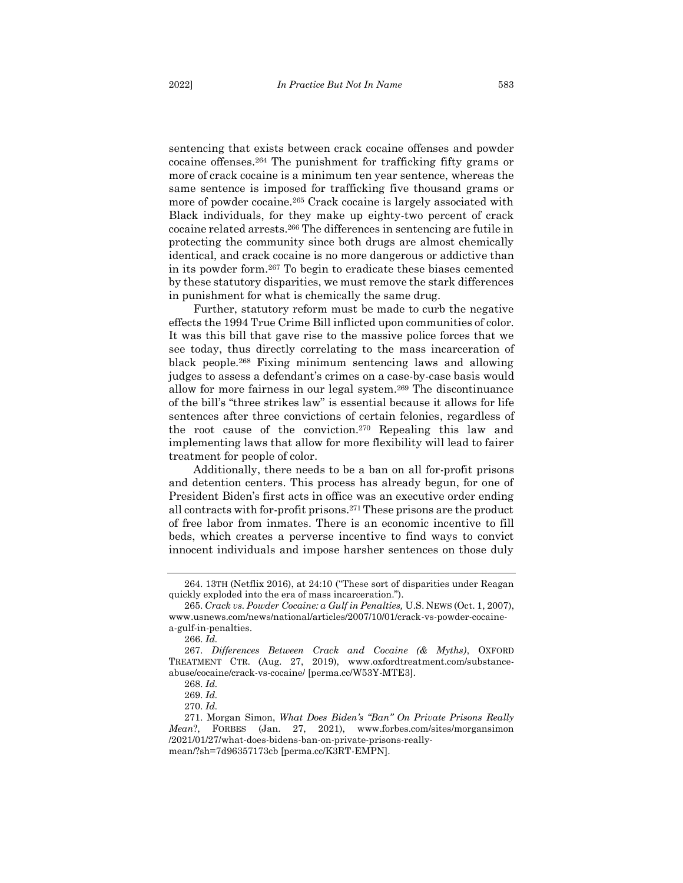sentencing that exists between crack cocaine offenses and powder cocaine offenses. <sup>264</sup> The punishment for trafficking fifty grams or more of crack cocaine is a minimum ten year sentence, whereas the same sentence is imposed for trafficking five thousand grams or more of powder cocaine.<sup>265</sup> Crack cocaine is largely associated with Black individuals, for they make up eighty-two percent of crack cocaine related arrests.<sup>266</sup> The differences in sentencing are futile in protecting the community since both drugs are almost chemically identical, and crack cocaine is no more dangerous or addictive than in its powder form.<sup>267</sup> To begin to eradicate these biases cemented by these statutory disparities, we must remove the stark differences in punishment for what is chemically the same drug.

Further, statutory reform must be made to curb the negative effects the 1994 True Crime Bill inflicted upon communities of color. It was this bill that gave rise to the massive police forces that we see today, thus directly correlating to the mass incarceration of black people.<sup>268</sup> Fixing minimum sentencing laws and allowing judges to assess a defendant's crimes on a case-by-case basis would allow for more fairness in our legal system.<sup>269</sup> The discontinuance of the bill's "three strikes law" is essential because it allows for life sentences after three convictions of certain felonies, regardless of the root cause of the conviction. <sup>270</sup> Repealing this law and implementing laws that allow for more flexibility will lead to fairer treatment for people of color.

Additionally, there needs to be a ban on all for-profit prisons and detention centers. This process has already begun, for one of President Biden's first acts in office was an executive order ending all contracts with for-profit prisons.<sup>271</sup> These prisons are the product of free labor from inmates. There is an economic incentive to fill beds, which creates a perverse incentive to find ways to convict innocent individuals and impose harsher sentences on those duly

<sup>264. 13</sup>TH (Netflix 2016), at 24:10 ("These sort of disparities under Reagan quickly exploded into the era of mass incarceration.").

<sup>265.</sup> *Crack vs. Powder Cocaine: a Gulf in Penalties,* U.S. NEWS (Oct. 1, 2007), www.usnews.com/news/national/articles/2007/10/01/crack-vs-powder-cocainea-gulf-in-penalties.

<sup>266.</sup> *Id.*

<sup>267.</sup> *Differences Between Crack and Cocaine (& Myths)*, OXFORD TREATMENT CTR. (Aug. 27, 2019), www.oxfordtreatment.com/substanceabuse/cocaine/crack-vs-cocaine/ [perma.cc/W53Y-MTE3].

<sup>268.</sup> *Id.*

<sup>269.</sup> *Id.*

<sup>270.</sup> *Id.*

<sup>271.</sup> Morgan Simon, *What Does Biden's "Ban" On Private Prisons Really Mean*?, FORBES (Jan. 27, 2021), www.forbes.com/sites/morgansimon /2021/01/27/what-does-bidens-ban-on-private-prisons-reallymean/?sh=7d96357173cb [perma.cc/K3RT-EMPN].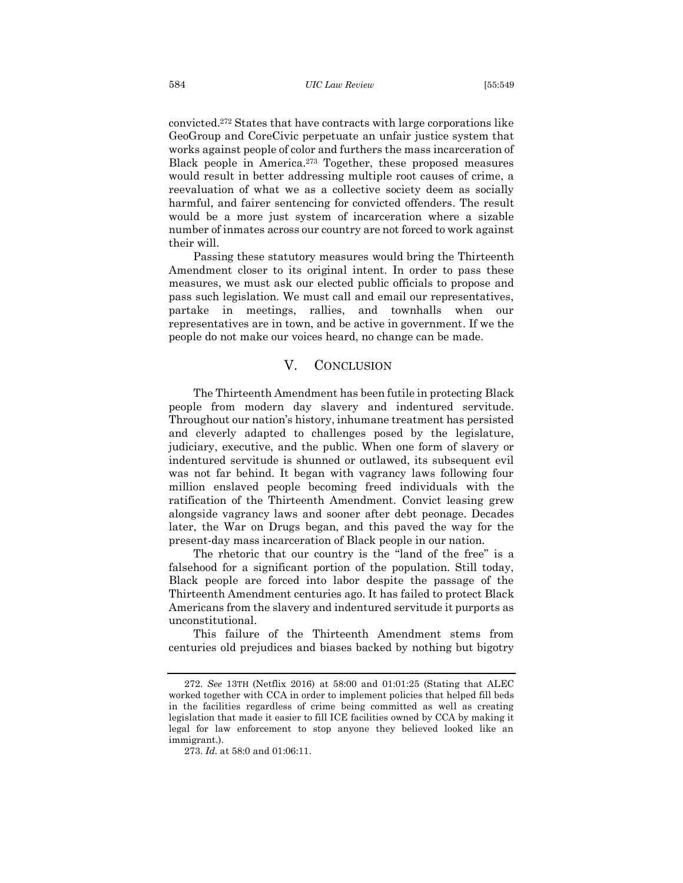convicted.<sup>272</sup> States that have contracts with large corporations like GeoGroup and CoreCivic perpetuate an unfair justice system that works against people of color and furthers the mass incarceration of Black people in America.<sup>273</sup> Together, these proposed measures would result in better addressing multiple root causes of crime, a reevaluation of what we as a collective society deem as socially harmful, and fairer sentencing for convicted offenders. The result would be a more just system of incarceration where a sizable number of inmates across our country are not forced to work against their will.

Passing these statutory measures would bring the Thirteenth Amendment closer to its original intent. In order to pass these measures, we must ask our elected public officials to propose and pass such legislation. We must call and email our representatives, partake in meetings, rallies, and townhalls when our representatives are in town, and be active in government. If we the people do not make our voices heard, no change can be made.

## <span id="page-36-0"></span>V. CONCLUSION

The Thirteenth Amendment has been futile in protecting Black people from modern day slavery and indentured servitude. Throughout our nation's history, inhumane treatment has persisted and cleverly adapted to challenges posed by the legislature, judiciary, executive, and the public. When one form of slavery or indentured servitude is shunned or outlawed, its subsequent evil was not far behind. It began with vagrancy laws following four million enslaved people becoming freed individuals with the ratification of the Thirteenth Amendment. Convict leasing grew alongside vagrancy laws and sooner after debt peonage. Decades later, the War on Drugs began, and this paved the way for the present-day mass incarceration of Black people in our nation.

The rhetoric that our country is the "land of the free" is a falsehood for a significant portion of the population. Still today, Black people are forced into labor despite the passage of the Thirteenth Amendment centuries ago. It has failed to protect Black Americans from the slavery and indentured servitude it purports as unconstitutional.

This failure of the Thirteenth Amendment stems from centuries old prejudices and biases backed by nothing but bigotry

<sup>272.</sup> *See* 13TH (Netflix 2016) at 58:00 and 01:01:25 (Stating that ALEC worked together with CCA in order to implement policies that helped fill beds in the facilities regardless of crime being committed as well as creating legislation that made it easier to fill ICE facilities owned by CCA by making it legal for law enforcement to stop anyone they believed looked like an immigrant.).

<sup>273.</sup> *Id.* at 58:0 and 01:06:11.